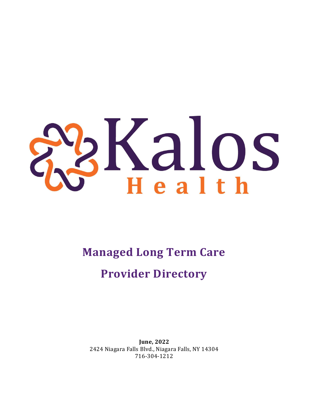# Ralos

**Managed Long Term Care Provider Directory**

**June, 2022** 2424 Niagara Falls Blvd., Niagara Falls, NY 14304 716-304-1212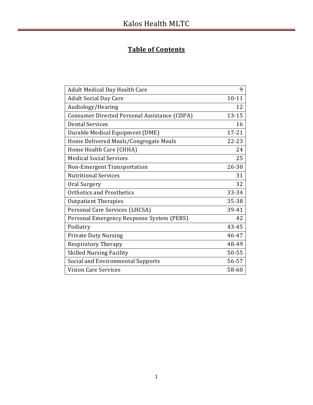# **Table of Contents**

| Adult Medical Day Health Care                | 9         |
|----------------------------------------------|-----------|
| <b>Adult Social Day Care</b>                 | $10 - 11$ |
| Audiology/Hearing                            | 12        |
| Consumer Directed Personal Assistance (CDPA) | 13-15     |
| <b>Dental Services</b>                       | 16        |
| Durable Medical Equipment (DME)              | $17 - 21$ |
| Home Delivered Meals/Congregate Meals        | $22 - 23$ |
| Home Health Care (CHHA)                      | 24        |
| <b>Medical Social Services</b>               | 25        |
| Non-Emergent Transportation                  | 26-30     |
| <b>Nutritional Services</b>                  | 31        |
| Oral Surgery                                 | 32        |
| Orthotics and Prosthetics                    | 33-34     |
| <b>Outpatient Therapies</b>                  | 35-38     |
| Personal Care Services (LHCSA)               | 39-41     |
| Personal Emergency Response System (PERS)    | 42        |
| Podiatry                                     | 43-45     |
| <b>Private Duty Nursing</b>                  | 46-47     |
| <b>Respiratory Therapy</b>                   | 48-49     |
| <b>Skilled Nursing Facility</b>              | 50-55     |
| Social and Environmental Supports            | 56-57     |
| <b>Vision Care Services</b>                  | 58-60     |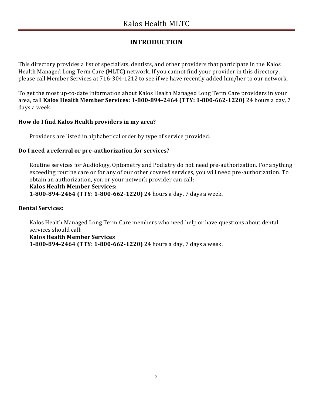# **INTRODUCTION**

This directory provides a list of specialists, dentists, and other providers that participate in the Kalos Health Managed Long Term Care (MLTC) network. If you cannot find your provider in this directory, please call Member Services at 716-304-1212 to see if we have recently added him/her to our network.

To get the most up-to-date information about Kalos Health Managed Long Term Care providers in your area, call **Kalos Health Member Services: 1-800-894-2464 (TTY: 1-800-662-1220)** 24 hours a day, 7 days a week.

#### **How do I find Kalos Health providers in my area?**

Providers are listed in alphabetical order by type of service provided.

#### **Do I need a referral or pre-authorization for services?**

Routine services for Audiology, Optometry and Podiatry do not need pre-authorization. For anything exceeding routine care or for any of our other covered services, you will need pre-authorization. To obtain an authorization, you or your network provider can call:

#### **Kalos Health Member Services:**

**1-800-894-2464 (TTY: 1-800-662-1220)** 24 hours a day, 7 days a week.

#### **Dental Services:**

Kalos Health Managed Long Term Care members who need help or have questions about dental services should call: **Kalos Health Member Services 1-800-894-2464 (TTY: 1-800-662-1220)** 24 hours a day, 7 days a week.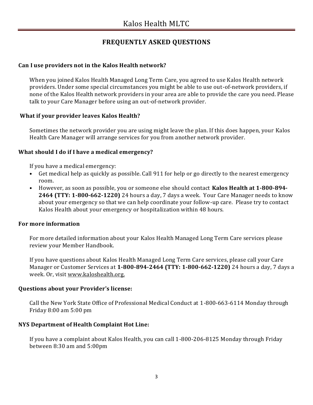# **FREQUENTLY ASKED QUESTIONS**

#### **Can I use providers not in the Kalos Health network?**

When you joined Kalos Health Managed Long Term Care, you agreed to use Kalos Health network providers. Under some special circumstances you might be able to use out-of-network providers, if none of the Kalos Health network providers in your area are able to provide the care you need. Please talk to your Care Manager before using an out-of-network provider.

#### **What if your provider leaves Kalos Health?**

Sometimes the network provider you are using might leave the plan. If this does happen, your Kalos Health Care Manager will arrange services for you from another network provider.

#### **What should I do if I have a medical emergency?**

If you have a medical emergency:

- Get medical help as quickly as possible. Call 911 for help or go directly to the nearest emergency room.
- However, as soon as possible, you or someone else should contact **Kalos Health at 1-800-894- 2464 (TTY: 1-800-662-1220)** 24 hours a day, 7 days a week. Your Care Manager needs to know about your emergency so that we can help coordinate your follow-up care. Please try to contact Kalos Health about your emergency or hospitalization within 48 hours.

#### **For more information**

For more detailed information about your Kalos Health Managed Long Term Care services please review your Member Handbook.

If you have questions about Kalos Health Managed Long Term Care services, please call your Care Manager or Customer Services at **1-800-894-2464 (TTY: 1-800-662-1220)** 24 hours a day, 7 days a week. Or, visit www.kaloshealth.org.

#### **Questions about your Provider's license:**

Call the New York State Office of Professional Medical Conduct at 1-800-663-6114 Monday through Friday 8:00 am 5:00 pm

#### **NYS Department of Health Complaint Hot Line:**

If you have a complaint about Kalos Health, you can call 1-800-206-8125 Monday through Friday between 8:30 am and 5:00pm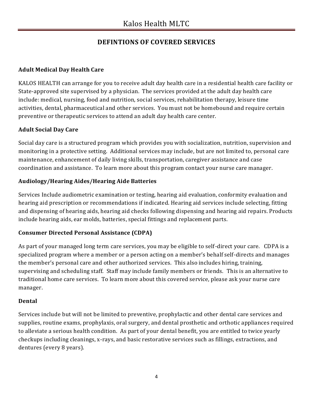# **DEFINTIONS OF COVERED SERVICES**

# **Adult Medical Day Health Care**

KALOS HEALTH can arrange for you to receive adult day health care in a residential health care facility or State-approved site supervised by a physician. The services provided at the adult day health care include: medical, nursing, food and nutrition, social services, rehabilitation therapy, leisure time activities, dental, pharmaceutical and other services. You must not be homebound and require certain preventive or therapeutic services to attend an adult day health care center.

### **Adult Social Day Care**

Social day care is a structured program which provides you with socialization, nutrition, supervision and monitoring in a protective setting. Additional services may include, but are not limited to, personal care maintenance, enhancement of daily living skills, transportation, caregiver assistance and case coordination and assistance. To learn more about this program contact your nurse care manager.

#### **Audiology/Hearing Aides/Hearing Aide Batteries**

Services Include audiometric examination or testing, hearing aid evaluation, conformity evaluation and hearing aid prescription or recommendations if indicated. Hearing aid services include selecting, fitting and dispensing of hearing aids, hearing aid checks following dispensing and hearing aid repairs. Products include hearing aids, ear molds, batteries, special fittings and replacement parts.

#### **Consumer Directed Personal Assistance (CDPA)**

As part of your managed long term care services, you may be eligible to self-direct your care. CDPA is a specialized program where a member or a person acting on a member's behalf self-directs and manages the member's personal care and other authorized services. This also includes hiring, training, supervising and scheduling staff. Staff may include family members or friends. This is an alternative to traditional home care services. To learn more about this covered service, please ask your nurse care manager.

#### **Dental**

Services include but will not be limited to preventive, prophylactic and other dental care services and supplies, routine exams, prophylaxis, oral surgery, and dental prosthetic and orthotic appliances required to alleviate a serious health condition. As part of your dental benefit, you are entitled to twice yearly checkups including cleanings, x-rays, and basic restorative services such as fillings, extractions, and dentures (every 8 years).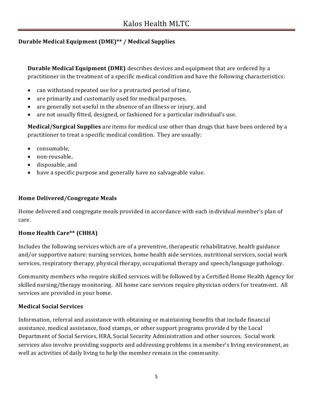## **Durable Medical Equipment (DME)\*\* / Medical Supplies**

**Durable Medical Equipment (DME)** describes devices and equipment that are ordered by a practitioner in the treatment of a specific medical condition and have the following characteristics:

- can withstand repeated use for a protracted period of time,
- are primarily and customarily used for medical purposes,
- are generally not useful in the absence of an illness or injury, and
- are not usually fitted, designed, or fashioned for a particular individual's use.

**Medical/Surgical Supplies** are items for medical use other than drugs that have been ordered by a practitioner to treat a specific medical condition. They are usually:

- consumable,
- non-reusable,
- disposable, and
- have a specific purpose and generally have no salvageable value.

#### **Home Delivered/Congregate Meals**

Home delivered and congregate meals provided in accordance with each individual member's plan of care.

#### **Home Health Care\*\* (CHHA)**

Includes the following services which are of a preventive, therapeutic rehabilitative, health guidance and/or supportive nature: nursing services, home health aide services, nutritional services, social work services, respiratory therapy, physical therapy, occupational therapy and speech/language pathology.

Community members who require skilled services will be followed by a Certified Home Health Agency for skilled nursing/therapy monitoring. All home care services require physician orders for treatment. All services are provided in your home.

#### **Medical Social Services**

Information, referral and assistance with obtaining or maintaining benefits that include financial assistance, medical assistance, food stamps, or other support programs provided by the Local Department of Social Services, HRA, Social Security Administration and other sources. Social work services also involve providing supports and addressing problems in a member's living environment, as well as activities of daily living to help the member remain in the community.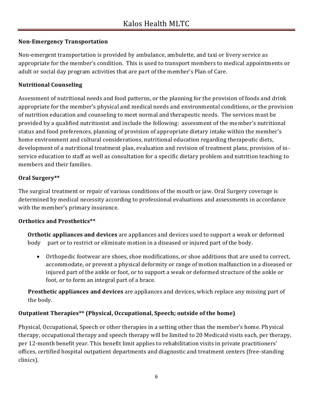#### **Non-Emergency Transportation**

Non-emergent transportation is provided by ambulance, ambulette, and taxi or livery service as appropriate for the member's condition. This is used to transport members to medical appointments or adult or social day program activities that are part of the member's Plan of Care.

### **Nutritional Counseling**

Assessment of nutritional needs and food patterns, or the planning for the provision of foods and drink appropriate for the member's physical and medical needs and environmental conditions, or the provision of nutrition education and counseling to meet normal and therapeutic needs. The services must be provided by a qualified nutritionist and include the following: assessment of the member's nutritional status and food preferences, planning of provision of appropriate dietary intake within the member's home environment and cultural considerations, nutritional education regarding therapeutic diets, development of a nutritional treatment plan, evaluation and revision of treatment plans, provision of inservice education to staff as well as consultation for a specific dietary problem and nutrition teaching to members and their families.

### **Oral Surgery\*\***

The surgical treatment or repair of various conditions of the mouth or jaw. Oral Surgery coverage is determined by medical necessity according to professional evaluations and assessments in accordance with the member's primary insurance.

#### **Orthotics and Prosthetics\*\***

**Orthotic appliances and devices** are appliances and devices used to support a weak or deformed body part or to restrict or eliminate motion in a diseased or injured part of the body.

 Orthopedic footwear are shoes, shoe modifications, or shoe additions that are used to correct, accommodate, or prevent a physical deformity or range of motion malfunction in a diseased or injured part of the ankle or foot, or to support a weak or deformed structure of the ankle or foot, or to form an integral part of a brace.

**Prosthetic appliances and devices** are appliances and devices, which replace any missing part of the body.

### **Outpatient Therapies\*\* (Physical, Occupational, Speech; outside of the home)**

Physical, Occupational, Speech or other therapies in a setting other than the member's home. Physical therapy, occupational therapy and speech therapy will be limited to 20 Medicaid visits each, per therapy, per 12-month benefit year. This benefit limit applies to rehabilitation visits in private practitioners' offices, certified hospital outpatient departments and diagnostic and treatment centers (free-standing clinics).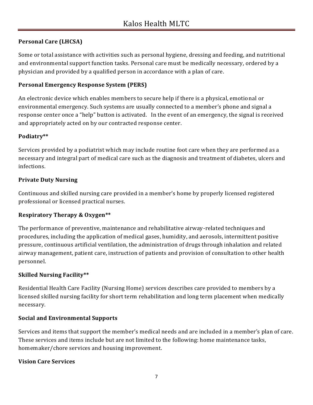## **Personal Care (LHCSA)**

Some or total assistance with activities such as personal hygiene, dressing and feeding, and nutritional and environmental support function tasks. Personal care must be medically necessary, ordered by a physician and provided by a qualified person in accordance with a plan of care.

#### **Personal Emergency Response System (PERS)**

An electronic device which enables members to secure help if there is a physical, emotional or environmental emergency. Such systems are usually connected to a member's phone and signal a response center once a "help" button is activated. In the event of an emergency, the signal is received and appropriately acted on by our contracted response center.

#### **Podiatry\*\***

Services provided by a podiatrist which may include routine foot care when they are performed as a necessary and integral part of medical care such as the diagnosis and treatment of diabetes, ulcers and infections.

#### **Private Duty Nursing**

Continuous and skilled nursing care provided in a member's home by properly licensed registered professional or licensed practical nurses.

#### **Respiratory Therapy & Oxygen\*\***

The performance of preventive, maintenance and rehabilitative airway-related techniques and procedures, including the application of medical gases, humidity, and aerosols, intermittent positive pressure, continuous artificial ventilation, the administration of drugs through inhalation and related airway management, patient care, instruction of patients and provision of consultation to other health personnel.

#### **Skilled Nursing Facility\*\***

Residential Health Care Facility (Nursing Home) services describes care provided to members by a licensed skilled nursing facility for short term rehabilitation and long term placement when medically necessary.

#### **Social and Environmental Supports**

Services and items that support the member's medical needs and are included in a member's plan of care. These services and items include but are not limited to the following: home maintenance tasks, homemaker/chore services and housing improvement.

#### **Vision Care Services**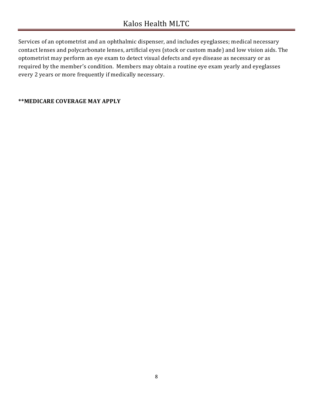Services of an optometrist and an ophthalmic dispenser, and includes eyeglasses; medical necessary contact lenses and polycarbonate lenses, artificial eyes (stock or custom made) and low vision aids. The optometrist may perform an eye exam to detect visual defects and eye disease as necessary or as required by the member's condition. Members may obtain a routine eye exam yearly and eyeglasses every 2 years or more frequently if medically necessary.

#### **\*\*MEDICARE COVERAGE MAY APPLY**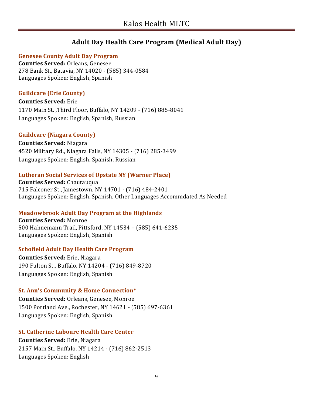# **Adult Day Health Care Program (Medical Adult Day)**

#### **Genesee County Adult Day Program**

**Counties Served:** Orleans, Genesee 278 Bank St., Batavia, NY 14020 **-** (585) 344-0584 Languages Spoken: English, Spanish

#### **Guildcare (Erie County)**

**Counties Served:** Erie 1170 Main St. ,Third Floor, Buffalo, NY 14209 - (716) 885-8041 Languages Spoken: English, Spanish, Russian

#### **Guildcare (Niagara County)**

**Counties Served:** Niagara 4520 Military Rd., Niagara Falls, NY 14305 - (716) 285-3499 Languages Spoken: English, Spanish, Russian

#### **Lutheran Social Services of Upstate NY (Warner Place)**

**Counties Served:** Chautauqua 715 Falconer St., Jamestown, NY 14701 - (716) 484-2401 Languages Spoken: English, Spanish, Other Languages Accommdated As Needed

#### **Meadowbrook Adult Day Program at the Highlands**

**Counties Served:** Monroe 500 Hahnemann Trail, Pittsford, NY 14534 – (585) 641-6235 Languages Spoken: English, Spanish

#### **Schofield Adult Day Health Care Program**

**Counties Served:** Erie, Niagara 190 Fulton St., Buffalo, NY 14204 - (716) 849-8720 Languages Spoken: English, Spanish

#### **St. Ann's Community & Home Connection\***

**Counties Served:** Orleans, Genesee, Monroe 1500 Portland Ave., Rochester, NY 14621 - (585) 697-6361 Languages Spoken: English, Spanish

#### **St. Catherine Laboure Health Care Center**

**Counties Served:** Erie, Niagara 2157 Main St., Buffalo, NY 14214 - (716) 862-2513 Languages Spoken: English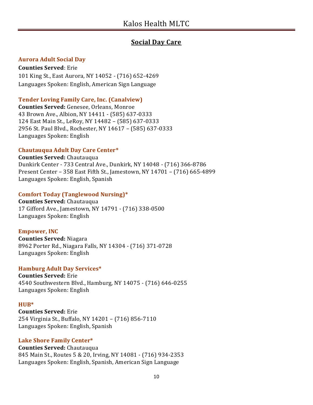# **Social Day Care**

#### **Aurora Adult Social Day**

**Counties Served**: Erie 101 King St., East Aurora, NY 14052 - (716) 652-4269 Languages Spoken: English, American Sign Language

#### **Tender Loving Family Care, Inc. (Canalview)**

**Counties Served:** Genesee, Orleans, Monroe 43 Brown Ave., Albion, NY 14411 - (585) 637-0333 124 East Main St., LeRoy, NY 14482 – (585) 637-0333 2956 St. Paul Blvd., Rochester, NY 14617 – (585) 637-0333 Languages Spoken: English

#### **Chautauqua Adult Day Care Center\***

**Counties Served:** Chautauqua Dunkirk Center - 733 Central Ave., Dunkirk, NY 14048 - (716) 366-8786 Present Center – 358 East Fifth St., Jamestown, NY 14701 – (716) 665-4899 Languages Spoken: English, Spanish

#### **Comfort Today (Tanglewood Nursing)\***

**Counties Served:** Chautauqua 17 Gifford Ave., Jamestown, NY 14791 - (716) 338-0500 Languages Spoken: English

#### **Empower, INC**

**Counties Served:** Niagara 8962 Porter Rd., Niagara Falls, NY 14304 - (716) 371-0728 Languages Spoken: English

#### **Hamburg Adult Day Services\***

**Counties Served:** Erie 4540 Southwestern Blvd., Hamburg, NY 14075 - (716) 646-0255 Languages Spoken: English

#### **HUB\***

**Counties Served:** Erie 254 Virginia St., Buffalo, NY 14201 – (716) 856-7110 Languages Spoken: English, Spanish

#### **Lake Shore Family Center\***

**Counties Served:** Chautauqua 845 Main St., Routes 5 & 20, Irving, NY 14081 - (716) 934-2353 Languages Spoken: English, Spanish, American Sign Language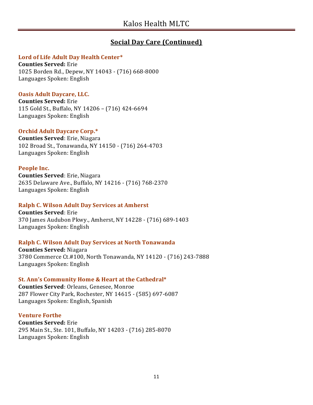# **Social Day Care (Continued)**

#### **Lord of Life Adult Day Health Center\***

**Counties Served:** Erie 1025 Borden Rd., Depew, NY 14043 - (716) 668-8000 Languages Spoken: English

#### **Oasis Adult Daycare, LLC.**

**Counties Served:** Erie 115 Gold St., Buffalo, NY 14206 – (716) 424-6694 Languages Spoken: English

#### **Orchid Adult Daycare Corp.\***

**Counties Served**: Erie, Niagara 102 Broad St., Tonawanda, NY 14150 - (716) 264-4703 Languages Spoken: English

#### **People Inc.**

**Counties Served**: Erie, Niagara 2635 Delaware Ave., Buffalo, NY 14216 - (716) 768-2370 Languages Spoken: English

#### **Ralph C. Wilson Adult Day Services at Amherst**

**Counties Served**: Erie 370 James Audubon Pkwy., Amherst, NY 14228 - (716) 689-1403 Languages Spoken: English

#### **Ralph C. Wilson Adult Day Services at North Tonawanda**

**Counties Served:** Niagara 3780 Commerce Ct.#100, North Tonawanda, NY 14120 - (716) 243-7888 Languages Spoken: English

#### **St. Ann's Community Home & Heart at the Cathedral\***

**Counties Served**: Orleans, Genesee, Monroe 287 Flower City Park, Rochester, NY 14615 - (585) 697-6087 Languages Spoken: English, Spanish

#### **Venture Forthe**

**Counties Served:** Erie 295 Main St., Ste. 101, Buffalo, NY 14203 - (716) 285-8070 Languages Spoken: English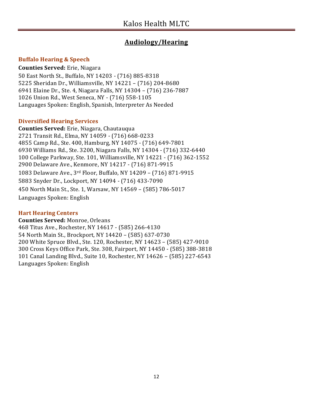## **Audiology/Hearing**

#### **Buffalo Hearing & Speech**

**Counties Served:** Erie, Niagara

50 East North St., Buffalo, NY 14203 - (716) 885-8318 5225 Sheridan Dr., Williamsville, NY 14221 – (716) 204-8680 6941 Elaine Dr., Ste. 4, Niagara Falls, NY 14304 – (716) 236-7887 1026 Union Rd., West Seneca, NY - (716) 558-1105 Languages Spoken: English, Spanish, Interpreter As Needed

#### **Diversified Hearing Services**

**Counties Served:** Erie, Niagara, Chautauqua 2721 Transit Rd., Elma, NY 14059 - (716) 668-0233 4855 Camp Rd., Ste. 400, Hamburg, NY 14075 - (716) 649-7801 6930 Williams Rd., Ste. 3200, Niagara Falls, NY 14304 - (716) 332-6440 100 College Parkway, Ste. 101, Williamsville, NY 14221 - (716) 362-1552 2900 Delaware Ave., Kenmore, NY 14217 - (716) 871-9915 1083 Delaware Ave., 3rd Floor, Buffalo, NY 14209 – (716) 871-9915 5883 Snyder Dr., Lockport, NY 14094 - (716) 433-7090 450 North Main St., Ste. 1, Warsaw, NY 14569 – (585) 786-5017 Languages Spoken: English

#### **Hart Hearing Centers**

**Counties Served:** Monroe, Orleans 468 Titus Ave., Rochester, NY 14617 - (585) 266-4130 54 North Main St., Brockport, NY 14420 – (585) 637-0730 200 White Spruce Blvd., Ste. 120, Rochester, NY 14623 – (585) 427-9010 300 Cross Keys Office Park, Ste. 308, Fairport, NY 14450 - (585) 388-3818 101 Canal Landing Blvd., Suite 10, Rochester, NY 14626 – (585) 227-6543 Languages Spoken: English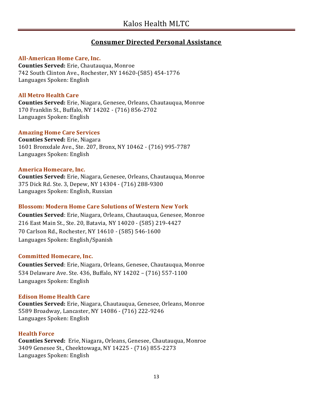## **Consumer Directed Personal Assistance**

#### **All-American Home Care, Inc.**

**Counties Served:** Erie, Chautauqua, Monroe 742 South Clinton Ave., Rochester, NY 14620-(585) 454-1776 Languages Spoken: English

#### **All Metro Health Care**

**Counties Served:** Erie, Niagara, Genesee, Orleans, Chautauqua, Monroe 170 Franklin St., Buffalo, NY 14202 - (716) 856-2702 Languages Spoken: English

#### **Amazing Home Care Services**

**Counties Served:** Erie, Niagara 1601 Bronxdale Ave., Ste. 207, Bronx, NY 10462 - (716) 995-7787 Languages Spoken: English

#### **America Homecare, Inc.**

**Counties Served:** Erie, Niagara, Genesee, Orleans, Chautauqua, Monroe 375 Dick Rd. Ste. 3, Depew, NY 14304 - (716) 288-9300 Languages Spoken: English, Russian

#### **Blossom: Modern Home Care Solutions of Western New York**

**Counties Served**: Erie, Niagara, Orleans, Chautauqua, Genesee, Monroe 216 East Main St., Ste. 20, Batavia, NY 14020 - (585) 219-4427 70 Carlson Rd., Rochester, NY 14610 - (585) 546-1600 Languages Spoken: English/Spanish

#### **Committed Homecare, Inc.**

**Counties Served**: Erie, Niagara, Orleans, Genesee, Chautauqua, Monroe 534 Delaware Ave. Ste. 436, Buffalo, NY 14202 – (716) 557-1100 Languages Spoken: English

#### **Edison Home Health Care**

**Counties Served:** Erie, Niagara, Chautauqua, Genesee, Orleans, Monroe 5589 Broadway, Lancaster, NY 14086 - (716) 222-9246 Languages Spoken: English

#### **Health Force**

**Counties Served:** Erie, Niagara**,** Orleans, Genesee, Chautauqua, Monroe 3409 Genesee St., Cheektowaga, NY 14225 - (716) 855-2273 Languages Spoken: English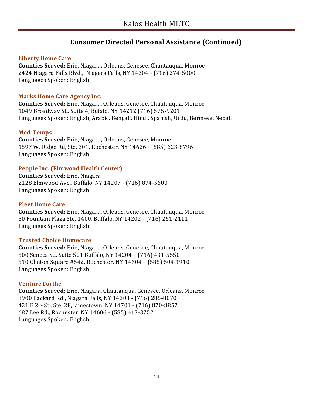# **Consumer Directed Personal Assistance (Continued)**

#### **Liberty Home Care**

**Counties Served:** Erie, Niagara**,** Orleans, Genesee, Chautauqua, Monroe 2424 Niagara Falls Blvd., Niagara Falls, NY 14304 - (716) 274-5000 Languages Spoken: English

#### **Marks Home Care Agency Inc.**

**Counties Served:** Erie, Niagara, Orleans, Genesee, Chautauqua, Monroe 1049 Broadway St., Suite 4, Bufalo, NY 14212 (716) 575-9201 Languages Spoken: English, Arabic, Bengali, Hindi, Spanish, Urdu, Bermese, Nepali

#### **Med-Temps**

**Counties Served:** Erie, Niagara**,** Orleans, Genesee, Monroe 1597 W. Ridge Rd, Ste. 301, Rochester, NY 14626 - (585) 623-8796 Languages Spoken: English

#### **People Inc. (Elmwood Health Center)**

**Counties Served:** Erie, Niagara 2128 Elmwood Ave., Buffalo, NY 14207 - (716) 874-5600 Languages Spoken: English

#### **Pleet Home Care**

**Counties Served:** Erie, Niagara, Orleans, Genesee, Chautauqua, Monroe 50 Fountain Plaza Ste. 1400, Buffalo, NY 14202 - (716) 261-2111 Languages Spoken: English

#### **Trusted Choice Homecare**

**Counties Served:** Erie, Niagara, Orleans, Genesee, Chautauqua, Monroe 500 Seneca St., Suite 501 Buffalo, NY 14204 – (716) 431-5550 510 Clinton Square #542, Rochester, NY 14604 – (585) 504-1910 Languages Spoken: English

#### **Venture Forthe**

**Counties Served:** Erie, Niagara, Chautauqua, Genesee, Orleans, Monroe 3900 Packard Rd., Niagara Falls, NY 14303 - (716) 285-8070 421 E 2nd St., Ste. 2F, Jamestown, NY 14701 - (716) 870-8857 687 Lee Rd., Rochester, NY 14606 - (585) 413-3752 Languages Spoken: English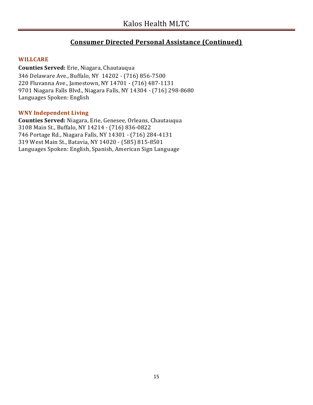# **Consumer Directed Personal Assistance (Continued)**

#### **WILLCARE**

**Counties Served:** Erie, Niagara, Chautauqua 346 Delaware Ave., Buffalo, NY 14202 - (716) 856-7500 220 Fluvanna Ave., Jamestown, NY 14701 - (716) 487-1131 9701 Niagara Falls Blvd., Niagara Falls, NY 14304 - (716) 298-8680 Languages Spoken: English

#### **WNY Independent Living**

**Counties Served:** Niagara, Erie, Genesee, Orleans, Chautauqua 3108 Main St., Buffalo, NY 14214 - (716) 836-0822 746 Portage Rd., Niagara Falls, NY 14301 - (716) 284-4131 319 West Main St., Batavia, NY 14020 - (585) 815-8501 Languages Spoken: English, Spanish, American Sign Language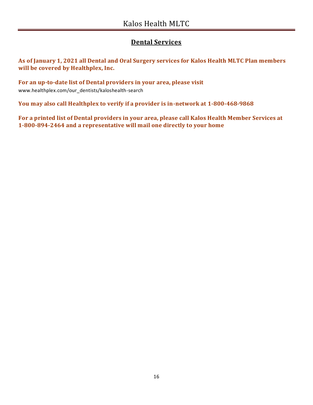# **Dental Services**

**As of January 1, 2021 all Dental and Oral Surgery services for Kalos Health MLTC Plan members will be covered by Healthplex, Inc.**

**For an up-to-date list of Dental providers in your area, please visit**  www.healthplex.com/our\_dentists/kaloshealth-search

**You may also call Healthplex to verify if a provider is in-network at 1-800-468-9868**

**For a printed list of Dental providers in your area, please call Kalos Health Member Services at 1-800-894-2464 and a representative will mail one directly to your home**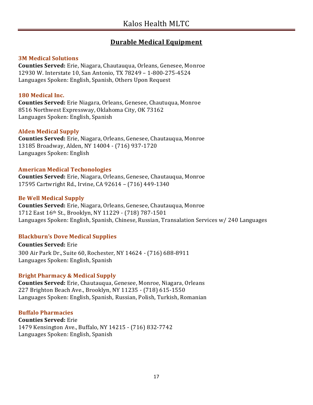# **Durable Medical Equipment**

#### **3M Medical Solutions**

**Counties Served:** Erie, Niagara, Chautauqua, Orleans, Genesee, Monroe 12930 W. Interstate 10, San Antonio, TX 78249 – 1-800-275-4524 Languages Spoken: English, Spanish, Others Upon Request

#### **180 Medical Inc.**

**Counties Served:** Erie Niagara, Orleans, Genesee, Chautuqua, Monroe 8516 Northwest Expressway, Oklahoma City, OK 73162 Languages Spoken: English, Spanish

#### **Alden Medical Supply**

**Counties Served:** Erie, Niagara, Orleans, Genesee, Chautauqua, Monroe 13185 Broadway, Alden, NY 14004 - (716) 937-1720 Languages Spoken: English

#### **American Medical Techonologies**

**Counties Served:** Erie, Niagara, Orleans, Genesee, Chautauqua, Monroe 17595 Cartwright Rd., Irvine, CA 92614 – (716) 449-1340

#### **Be Well Medical Supply**

**Counties Served:** Erie, Niagara, Orleans, Genesee, Chautauqua, Monroe 1712 East 16th St., Brooklyn, NY 11229 - (718) 787-1501 Languages Spoken: English, Spanish, Chinese, Russian, Transalation Services w/ 240 Languages

#### **Blackburn's Dove Medical Supplies**

**Counties Served:** Erie 300 Air Park Dr., Suite 60, Rochester, NY 14624 - (716) 688-8911 Languages Spoken: English, Spanish

#### **Bright Pharmacy & Medical Supply**

**Counties Served:** Erie, Chautauqua, Genesee, Monroe, Niagara, Orleans 227 Brighton Beach Ave., Brooklyn, NY 11235 - (718) 615-1550 Languages Spoken: English, Spanish, Russian, Polish, Turkish, Romanian

#### **Buffalo Pharmacies**

**Counties Served:** Erie 1479 Kensington Ave., Buffalo, NY 14215 - (716) 832-7742 Languages Spoken: English, Spanish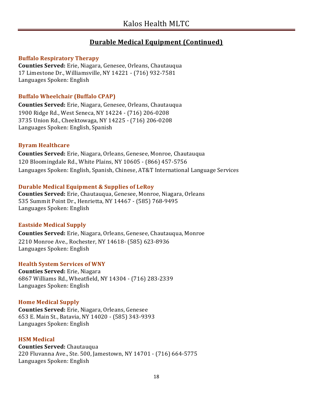#### **Buffalo Respiratory Therapy**

**Counties Served:** Erie, Niagara, Genesee, Orleans, Chautauqua 17 Limestone Dr., Williamsville, NY 14221 - (716) 932-7581 Languages Spoken: English

#### **Buffalo Wheelchair (Buffalo CPAP)**

**Counties Served:** Erie, Niagara, Genesee, Orleans, Chautauqua 1900 Ridge Rd., West Seneca, NY 14224 - (716) 206-0208 3735 Union Rd., Cheektowaga, NY 14225 - (716) 206-0208 Languages Spoken: English, Spanish

#### **Byram Healthcare**

**Counties Served:** Erie, Niagara, Orleans, Genesee, Monroe, Chautauqua 120 Bloomingdale Rd., White Plains, NY 10605 - (866) 457-5756 Languages Spoken: English, Spanish, Chinese, AT&T International Language Services

#### **Durable Medical Equipment & Supplies of LeRoy**

**Counties Served:** Erie, Chautauqua, Genesee, Monroe, Niagara, Orleans 535 Summit Point Dr., Henrietta, NY 14467 - (585) 768-9495 Languages Spoken: English

#### **Eastside Medical Supply**

**Counties Served:** Erie, Niagara, Orleans, Genesee, Chautauqua, Monroe 2210 Monroe Ave., Rochester, NY 14618- (585) 623-8936 Languages Spoken: English

#### **Health System Services of WNY**

**Counties Served:** Erie, Niagara 6867 Williams Rd., Wheatfield, NY 14304 - (716) 283-2339 Languages Spoken: English

#### **Home Medical Supply**

**Counties Served:** Erie, Niagara, Orleans, Genesee 653 E. Main St., Batavia, NY 14020 - (585) 343-9393 Languages Spoken: English

#### **HSM Medical**

**Counties Served:** Chautauqua 220 Fluvanna Ave., Ste. 500, Jamestown, NY 14701 - (716) 664-5775 Languages Spoken: English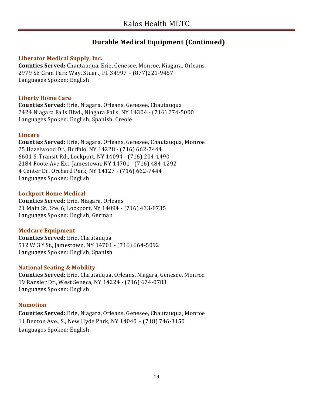#### **Liberator Medical Supply, Inc.**

**Counties Served:** Chautauqua, Erie, Genesee, Monroe, Niagara, Orleans 2979 SE Gran Park Way, Stuart, FL 34997 – (877)221-9457 Languages Spoken: English

#### **Liberty Home Care**

**Counties Served:** Erie, Niagara, Orleans, Genesee, Chautauqua 2424 Niagara Falls Blvd., Niagara Falls, NY 14304 - (716) 274-5000 Languages Spoken: English, Spanish, Creole

#### **Lincare**

**Counties Served:** Erie, Niagara, Orleans, Genesee, Chautauqua, Monroe 25 Hazelwood Dr., Buffalo, NY 14228 - (716) 662-7444 6601 S. Transit Rd., Lockport, NY 14094 - (716) 204-1490 2184 Foote Ave Ext, Jamestown, NY 14701 - (716) 484-1292 4 Center Dr. Orchard Park, NY 14127 - (716) 662-7444 Languages Spoken: English

#### **Lockport Home Medical**

**Counties Served:** Erie, Niagara, Orleans 21 Main St., Ste. 6, Lockport, NY 14094 - (716) 433-8735 Languages Spoken: English, German

#### **Medcare Equipment**

**Counties Served:** Erie, Chautauqua 512 W 3rd St., Jamestown, NY 14701 - (716) 664-5092 Languages Spoken: English, Spanish

#### **National Seating & Mobility**

**Counties Served:** Erie, Chautauqua, Orleans, Niagara, Genesee, Monroe 19 Ransier Dr., West Seneca, NY 14224 - (716) 674-0783 Languages Spoken: English

#### **Numotion**

**Counties Served:** Erie, Niagara, Orleans, Genesee, Chautauqua, Monroe 11 Denton Ave., S., New Hyde Park, NY 14040 – (718) 746-3150 Languages Spoken: English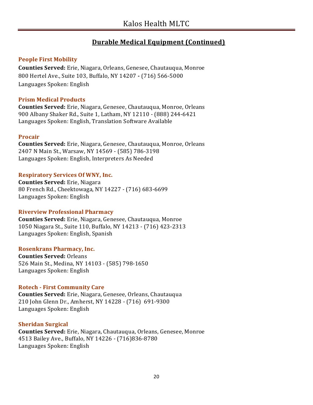#### **People First Mobility**

**Counties Served:** Erie, Niagara, Orleans, Genesee, Chautauqua, Monroe 800 Hertel Ave., Suite 103, Buffalo, NY 14207 **-** (716) 566-5000 Languages Spoken: English

#### **Prism Medical Products**

**Counties Served:** Erie, Niagara, Genesee, Chautauqua, Monroe, Orleans 900 Albany Shaker Rd., Suite 1, Latham, NY 12110 - (888) 244-6421 Languages Spoken: English, Translation Software Available

#### **Procair**

**Counties Served:** Erie, Niagara, Genesee, Chautauqua, Monroe, Orleans 2407 N Main St., Warsaw, NY 14569 - (585) 786-3198 Languages Spoken: English, Interpreters As Needed

#### **Respiratory Services Of WNY, Inc.**

**Counties Served:** Erie, Niagara 80 French Rd., Cheektowaga, NY 14227 - (716) 683-6699 Languages Spoken: English

#### **Riverview Professional Pharmacy**

**Counties Served:** Erie, Niagara, Genesee, Chautauqua, Monroe 1050 Niagara St., Suite 110, Buffalo, NY 14213 - (716) 423-2313 Languages Spoken: English, Spanish

#### **Rosenkrans Pharmacy, Inc.**

**Counties Served:** Orleans 526 Main St., Medina, NY 14103 - (585) 798-1650 Languages Spoken: English

#### **Rotech - First Community Care**

**Counties Served:** Erie, Niagara, Genesee, Orleans, Chautauqua 210 John Glenn Dr., Amherst, NY 14228 - (716) 691-9300 Languages Spoken: English

#### **Sheridan Surgical**

**Counties Served:** Erie, Niagara, Chautauqua, Orleans, Genesee, Monroe 4513 Bailey Ave., Buffalo, NY 14226 - (716)836-8780 Languages Spoken: English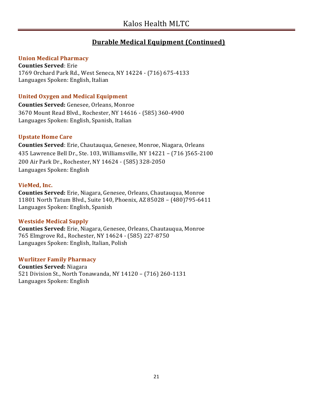#### **Union Medical Pharmacy**

**Counties Served**: Erie 1769 Orchard Park Rd., West Seneca, NY 14224 - (716) 675-4133 Languages Spoken: English, Italian

#### **United Oxygen and Medical Equipment**

**Counties Served:** Genesee, Orleans, Monroe 3670 Mount Read Blvd., Rochester, NY 14616 - (585) 360-4900 Languages Spoken: English, Spanish, Italian

#### **Upstate Home Care**

**Counties Served**: Erie, Chautauqua, Genesee, Monroe, Niagara, Orleans 435 Lawrence Bell Dr., Ste. 103, Williamsville, NY 14221 – (716 )565-2100 200 Air Park Dr., Rochester, NY 14624 - (585) 328-2050 Languages Spoken: English

#### **VieMed, Inc.**

**Counties Served:** Erie, Niagara, Genesee, Orleans, Chautauqua, Monroe 11801 North Tatum Blvd., Suite 140, Phoenix, AZ 85028 – (480)795-6411 Languages Spoken: English, Spanish

#### **Westside Medical Supply**

**Counties Served:** Erie, Niagara, Genesee, Orleans, Chautauqua, Monroe 765 Elmgrove Rd., Rochester, NY 14624 - (585) 227-8750 Languages Spoken: English, Italian, Polish

#### **Wurlitzer Family Pharmacy**

**Counties Served:** Niagara 521 Division St., North Tonawanda, NY 14120 – (716) 260-1131 Languages Spoken: English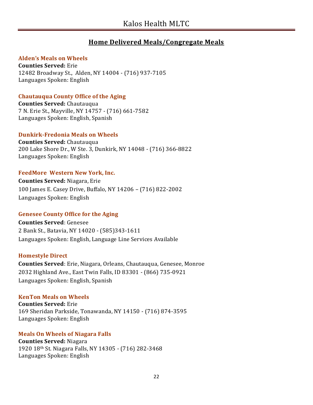# **Home Delivered Meals/Congregate Meals**

#### **Alden's Meals on Wheels**

**Counties Served:** Erie 12482 Broadway St., Alden, NY 14004 - (716) 937-7105 Languages Spoken: English

#### **Chautauqua County Office of the Aging**

**Counties Served:** Chautauqua 7 N. Erie St., Mayville, NY 14757 - (716) 661-7582 Languages Spoken: English, Spanish

#### **Dunkirk-Fredonia Meals on Wheels**

**Counties Served:** Chautauqua 200 Lake Shore Dr., W Ste. 3, Dunkirk, NY 14048 - (716) 366-8822 Languages Spoken: English

#### **FeedMore Western New York, Inc.**

**Counties Served:** Niagara, Erie 100 James E. Casey Drive, Buffalo, NY 14206 – (716) 822-2002 Languages Spoken: English

#### **Genesee County Office for the Aging**

**Counties Served**: Genesee 2 Bank St., Batavia, NY 14020 - (585)343-1611 Languages Spoken: English, Language Line Services Available

#### **Homestyle Direct**

**Counties Served**: Erie, Niagara, Orleans, Chautauqua, Genesee, Monroe 2032 Highland Ave., East Twin Falls, ID 83301 - (866) 735-0921 Languages Spoken: English, Spanish

#### **KenTon Meals on Wheels**

**Counties Served:** Erie 169 Sheridan Parkside, Tonawanda, NY 14150 - (716) 874-3595 Languages Spoken: English

# **Meals On Wheels of Niagara Falls**

**Counties Served:** Niagara 1920 18th St. Niagara Falls, NY 14305 - (716) 282-3468 Languages Spoken: English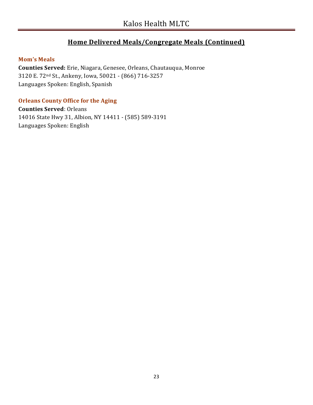# **Home Delivered Meals/Congregate Meals (Continued)**

#### **Mom's Meals**

**Counties Served:** Erie, Niagara, Genesee, Orleans, Chautauqua, Monroe 3120 E. 72nd St., Ankeny, Iowa, 50021 - (866) 716-3257 Languages Spoken: English, Spanish

#### **Orleans County Office for the Aging**

**Counties Served**: Orleans 14016 State Hwy 31, Albion, NY 14411 - (585) 589-3191 Languages Spoken: English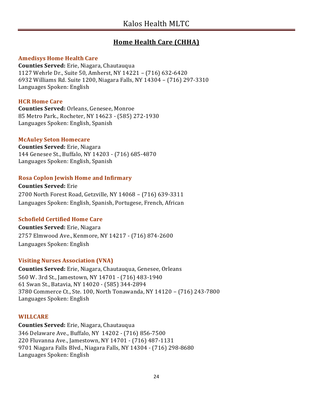# **Home Health Care (CHHA)**

#### **Amedisys Home Health Care**

**Counties Served:** Erie, Niagara, Chautauqua 1127 Wehrle Dr., Suite 50, Amherst, NY 14221 – (716) 632-6420 6932 Williams Rd. Suite 1200, Niagara Falls, NY 14304 – (716) 297-3310 Languages Spoken: English

#### **HCR Home Care**

**Counties Served:** Orleans, Genesee, Monroe 85 Metro Park., Rocheter, NY 14623 - (585) 272-1930 Languages Spoken: English, Spanish

#### **McAuley Seton Homecare**

**Counties Served:** Erie, Niagara 144 Genesee St., Buffalo, NY 14203 - (716) 685-4870 Languages Spoken: English, Spanish

### **Rosa Coplon Jewish Home and Infirmary**

**Counties Served:** Erie 2700 North Forest Road, Getzville, NY 14068 – (716) 639-3311 Languages Spoken: English, Spanish, Portugese, French, African

### **Schofield Certified Home Care**

**Counties Served:** Erie, Niagara 2757 Elmwood Ave., Kenmore, NY 14217 - (716) 874-2600 Languages Spoken: English

### **Visiting Nurses Association (VNA)**

**Counties Served:** Erie, Niagara, Chautauqua, Genesee, Orleans 560 W. 3rd St., Jamestown, NY 14701 - (716) 483-1940 61 Swan St., Batavia, NY 14020 - (585) 344-2894 3780 Commerce Ct., Ste. 100, North Tonawanda, NY 14120 – (716) 243-7800 Languages Spoken: English

### **WILLCARE**

**Counties Served:** Erie, Niagara, Chautauqua 346 Delaware Ave., Buffalo, NY 14202 - (716) 856-7500 220 Fluvanna Ave., Jamestown, NY 14701 - (716) 487-1131 9701 Niagara Falls Blvd., Niagara Falls, NY 14304 - (716) 298-8680 Languages Spoken: English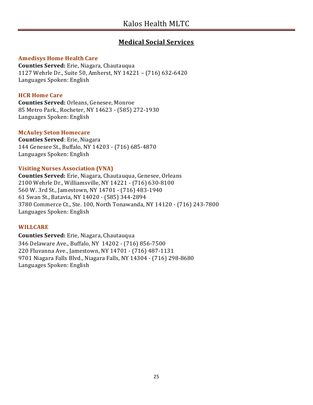# **Medical Social Services**

#### **Amedisys Home Health Care**

**Counties Served:** Erie, Niagara, Chautauqua 1127 Wehrle Dr., Suite 50, Amherst, NY 14221 – (716) 632-6420 Languages Spoken: English

#### **HCR Home Care**

**Counties Served:** Orleans, Genesee, Monroe 85 Metro Park., Rocheter, NY 14623 - (585) 272-1930 Languages Spoken: English

#### **McAuley Seton Homecare**

**Counties Served**: Erie, Niagara 144 Genesee St., Buffalo, NY 14203 - (716) 685-4870 Languages Spoken: English

#### **Visiting Nurses Association (VNA)**

**Counties Served:** Erie, Niagara, Chautauqua, Genesee, Orleans 2100 Wehrle Dr., Williamsville, NY 14221 - (716) 630-8100 560 W. 3rd St., Jamestown, NY 14701 - (716) 483-1940 61 Swan St., Batavia, NY 14020 - (585) 344-2894 3780 Commerce Ct., Ste. 100, North Tonawanda, NY 14120 - (716) 243-7800 Languages Spoken: English

#### **WILLCARE**

**Counties Served:** Erie, Niagara, Chautauqua 346 Delaware Ave., Buffalo, NY 14202 - (716) 856-7500 220 Fluvanna Ave., Jamestown, NY 14701 - (716) 487-1131 9701 Niagara Falls Blvd., Niagara Falls, NY 14304 - (716) 298-8680 Languages Spoken: English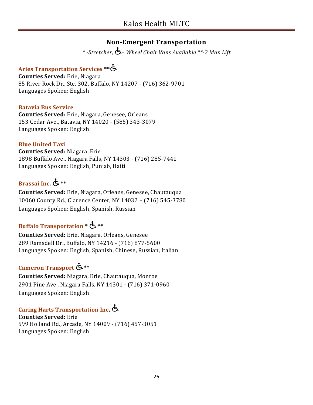# **Non-Emergent Transportation**

*\* -Stretcher, – Wheel Chair Vans Available \*\*-2 Man Lift*

# **Aries Transportation Services \*\***

**Counties Served:** Erie, Niagara 85 River Rock Dr., Ste. 302, Buffalo, NY 14207 - (716) 362-9701 Languages Spoken: English

#### **Batavia Bus Service**

**Counties Served:** Erie, Niagara, Genesee, Orleans 153 Cedar Ave., Batavia, NY 14020 - (585) 343-3079 Languages Spoken: English

### **Blue United Taxi**

**Counties Served:** Niagara, Erie 1898 Buffalo Ave., Niagara Falls, NY 14303 - (716) 285-7441 Languages Spoken: English, Punjab, Haiti

# **Brassai Inc. \*\***

**Counties Served:** Erie, Niagara, Orleans, Genesee, Chautauqua 10060 County Rd., Clarence Center, NY 14032 – (716) 545-3780 Languages Spoken: English, Spanish, Russian

# **Buffalo Transportation \* \*\***

**Counties Served:** Erie, Niagara, Orleans, Genesee 289 Ramsdell Dr., Buffalo, NY 14216 - (716) 877-5600 Languages Spoken: English, Spanish, Chinese, Russian, Italian

# **Cameron Transport \*\***

**Counties Served:** Niagara, Erie, Chautauqua, Monroe 2901 Pine Ave., Niagara Falls, NY 14301 - (716) 371-0960 Languages Spoken: English

# **Caring Harts Transportation Inc.**

**Counties Served:** Erie 599 Holland Rd., Arcade, NY 14009 - (716) 457-3051 Languages Spoken: English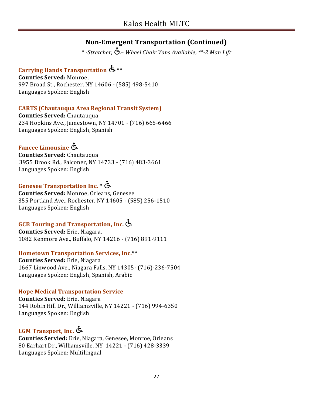*\* -Stretcher, – Wheel Chair Vans Available, \*\*-2 Man Lift*

# **Carrying Hands Transportation \*\***

**Counties Served:** Monroe, 997 Broad St., Rochester, NY 14606 - (585) 498-5410 Languages Spoken: English

### **CARTS (Chautauqua Area Regional Transit System)**

**Counties Served:** Chautauqua 234 Hopkins Ave., Jamestown, NY 14701 - (716) 665-6466 Languages Spoken: English, Spanish

# **Fancee Limousine**

**Counties Served:** Chautauqua 3955 Brook Rd., Falconer, NY 14733 - (716) 483-3661 Languages Spoken: English

# **Genesee Transportation Inc. \***

**Counties Served:** Monroe, Orleans, Genesee 355 Portland Ave., Rochester, NY 14605 - (585) 256-1510 Languages Spoken: English

# **GCB Touring and Transportation, Inc.**

**Counties Served:** Erie, Niagara, 1082 Kenmore Ave., Buffalo, NY 14216 - (716) 891-9111

#### **Hometown Transportation Services, Inc.\*\***

**Counties Served:** Erie, Niagara 1667 Linwood Ave., Niagara Falls, NY 14305- (716)-236-7504 Languages Spoken: English, Spanish, Arabic

### **Hope Medical Transportation Service**

**Counties Served:** Erie, Niagara 144 Robin Hill Dr., Williamsville, NY 14221 - (716) 994-6350 Languages Spoken: English

# **LGM Transport, Inc.**

**Counties Servied:** Erie, Niagara, Genesee, Monroe, Orleans 80 Earhart Dr., Williamsville, NY 14221 - (716) 428-3339 Languages Spoken: Multilingual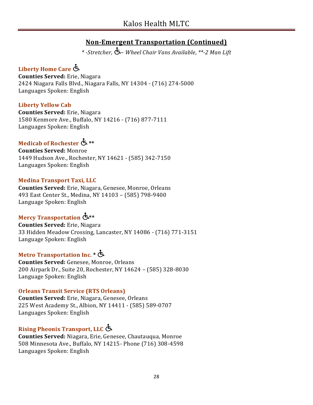*\* -Stretcher, – Wheel Chair Vans Available, \*\*-2 Man Lift*

# **Liberty Home Care**

**Counties Served:** Erie, Niagara 2424 Niagara Falls Blvd., Niagara Falls, NY 14304 - (716) 274-5000 Languages Spoken: English

#### **Liberty Yellow Cab**

**Counties Served:** Erie, Niagara 1580 Kenmore Ave., Buffalo, NY 14216 - (716) 877-7111 Languages Spoken: English

# **Medicab of Rochester \*\***

**Counties Served:** Monroe 1449 Hudson Ave., Rochester, NY 14621 - (585) 342-7150 Languages Spoken: English

#### **Medina Transport Taxi, LLC**

**Counties Served:** Erie, Niagara, Genesee, Monroe, Orleans 493 East Center St., Medina, NY 14103 – (585) 798-9400 Language Spoken: English

# **Mercy Transportation \*\***

**Counties Served:** Erie, Niagara 33 Hidden Meadow Crossing, Lancaster, NY 14086 - (716) 771-3151 Language Spoken: English

# **Metro Transportation Inc. \***

**Counties Served:** Genesee, Monroe, Orleans 200 Airpark Dr., Suite 20, Rochester, NY 14624 – (585) 328-8030 Language Spoken: English

### **Orleans Transit Service (RTS Orleans)**

**Counties Served:** Erie, Niagara, Genesee, Orleans 225 West Academy St., Albion, NY 14411 - (585) 589-0707 Languages Spoken: English

# **Rising Pheonix Transport, LLC**

**Counties Served:** Niagara, Erie, Genesee, Chautauqua, Monroe 508 Minnesota Ave., Buffalo, NY 14215- Phone (716) 308-4598 Languages Spoken: English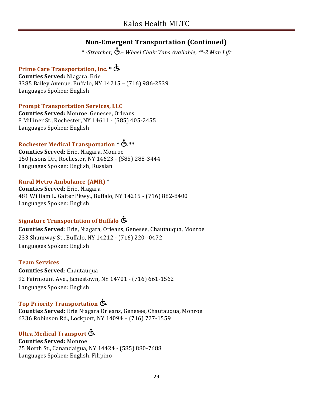*\* -Stretcher, – Wheel Chair Vans Available, \*\*-2 Man Lift*

# **Prime Care Transportation, Inc. \***

**Counties Served:** Niagara, Erie 3385 Bailey Avenue, Buffalo, NY 14215 – (716) 986-2539 Languages Spoken: English

#### **Prompt Transportation Services, LLC**

**Counties Served:** Monroe, Genesee, Orleans 8 Milliner St., Rochester, NY 14611 - (585) 405-2455 Languages Spoken: English

# **Rochester Medical Transportation \* \*\***

**Counties Served:** Erie, Niagara, Monroe 150 Jasons Dr., Rochester, NY 14623 - (585) 288-3444 Languages Spoken: English, Russian

#### **Rural Metro Ambulance (AMR) \***

**Counties Served:** Erie, Niagara 481 William L. Gaiter Pkwy., Buffalo, NY 14215 - (716) 882-8400 Languages Spoken: English

# **Signature Transportation of Buffalo**

**Counties Served**: Erie, Niagara, Orleans, Genesee, Chautauqua, Monroe 233 Shumway St., Buffalo, NY 14212 - (716) 220--0472 Languages Spoken: English

#### **Team Services**

**Counties Served**: Chautauqua 92 Fairmount Ave., Jamestown, NY 14701 - (716) 661-1562 Languages Spoken: English

# **Top Priority Transportation**

**Counties Served:** Erie Niagara Orleans, Genesee, Chautauqua, Monroe 6336 Robinson Rd., Lockport, NY 14094 – (716) 727-1559

# **Ultra Medical Transport**

**Counties Served:** Monroe 25 North St., Canandaigua, NY 14424 - (585) 880-7688 Languages Spoken: English, Filipino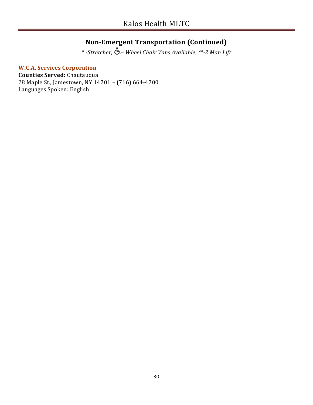*\* -Stretcher, – Wheel Chair Vans Available, \*\*-2 Man Lift*

#### **W.C.A. Services Corporation**

**Counties Served:** Chautauqua 28 Maple St., Jamestown, NY 14701 – (716) 664-4700 Languages Spoken: English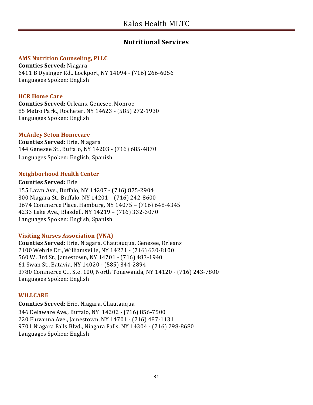# **Nutritional Services**

#### **AMS Nutrition Counseling, PLLC**

**Counties Served:** Niagara 6411 B Dysinger Rd., Lockport, NY 14094 - (716) 266-6056 Languages Spoken: English

#### **HCR Home Care**

**Counties Served:** Orleans, Genesee, Monroe 85 Metro Park., Rocheter, NY 14623 - (585) 272-1930 Languages Spoken: English

#### **McAuley Seton Homecare**

**Counties Served:** Erie, Niagara 144 Genesee St., Buffalo, NY 14203 - (716) 685-4870 Languages Spoken: English, Spanish

#### **Neighborhood Health Center**

#### **Counties Served:** Erie

155 Lawn Ave., Buffalo, NY 14207 - (716) 875-2904 300 Niagara St., Buffalo, NY 14201 – (716) 242-8600 3674 Commerce Place, Hamburg, NY 14075 – (716) 648-4345 4233 Lake Ave., Blasdell, NY 14219 – (716) 332-3070 Languages Spoken: English, Spanish

#### **Visiting Nurses Association (VNA)**

**Counties Served:** Erie, Niagara, Chautauqua, Genesee, Orleans 2100 Wehrle Dr., Williamsville, NY 14221 - (716) 630-8100 560 W. 3rd St., Jamestown, NY 14701 - (716) 483-1940 61 Swan St., Batavia, NY 14020 - (585) 344-2894 3780 Commerce Ct., Ste. 100, North Tonawanda, NY 14120 - (716) 243-7800 Languages Spoken: English

#### **WILLCARE**

**Counties Served:** Erie, Niagara, Chautauqua 346 Delaware Ave., Buffalo, NY 14202 - (716) 856-7500 220 Fluvanna Ave., Jamestown, NY 14701 - (716) 487-1131 9701 Niagara Falls Blvd., Niagara Falls, NY 14304 - (716) 298-8680 Languages Spoken: English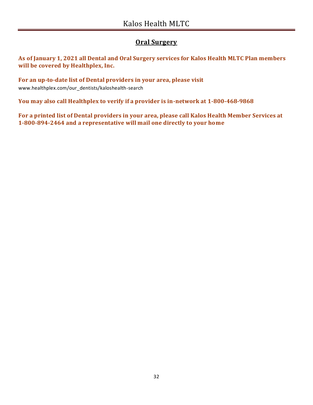# **Oral Surgery**

**As of January 1, 2021 all Dental and Oral Surgery services for Kalos Health MLTC Plan members will be covered by Healthplex, Inc.**

**For an up-to-date list of Dental providers in your area, please visit**  www.healthplex.com/our\_dentists/kaloshealth-search

**You may also call Healthplex to verify if a provider is in-network at 1-800-468-9868**

**For a printed list of Dental providers in your area, please call Kalos Health Member Services at 1-800-894-2464 and a representative will mail one directly to your home**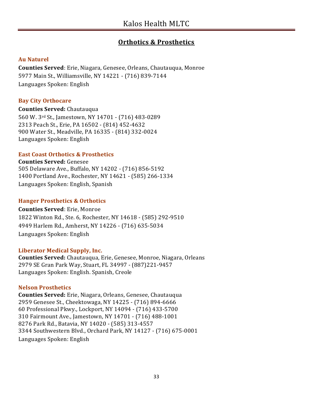# **Orthotics & Prosthetics**

#### **Au Naturel**

**Counties Served**: Erie, Niagara, Genesee, Orleans, Chautauqua, Monroe 5977 Main St., Williamsville, NY 14221 - (716) 839-7144 Languages Spoken: English

#### **Bay City Orthocare**

**Counties Served:** Chautauqua 560 W. 3rd St., Jamestown, NY 14701 - (716) 483-0289 2313 Peach St., Erie, PA 16502 - (814) 452-4632 900 Water St., Meadville, PA 16335 - (814) 332-0024 Languages Spoken: English

#### **East Coast Orthotics & Prosthetics**

**Counties Served:** Genesee 505 Delaware Ave., Buffalo, NY 14202 - (716) 856-5192 1400 Portland Ave., Rochester, NY 14621 - (585) 266-1334 Languages Spoken: English, Spanish

#### **Hanger Prosthetics & Orthotics**

#### **Counties Served**: Erie, Monroe

1822 Winton Rd., Ste. 6, Rochester, NY 14618 - (585) 292-9510 4949 Harlem Rd., Amherst, NY 14226 - (716) 635-5034 Languages Spoken: English

#### **Liberator Medical Supply, Inc.**

**Counties Served:** Chautauqua, Erie, Genesee, Monroe, Niagara, Orleans 2979 SE Gran Park Way, Stuart, FL 34997 - (887)221-9457 Languages Spoken: English. Spanish, Creole

#### **Nelson Prosthetics**

**Counties Served:** Erie, Niagara, Orleans, Genesee, Chautauqua 2959 Genesee St., Cheektowaga, NY 14225 - (716) 894-6666 60 Professional Pkwy., Lockport, NY 14094 - (716) 433-5700 310 Fairmount Ave., Jamestown, NY 14701 - (716) 488-1001 8276 Park Rd., Batavia, NY 14020 - (585) 313-4557 3344 Southwestern Blvd., Orchard Park, NY 14127 - (716) 675-0001 Languages Spoken: English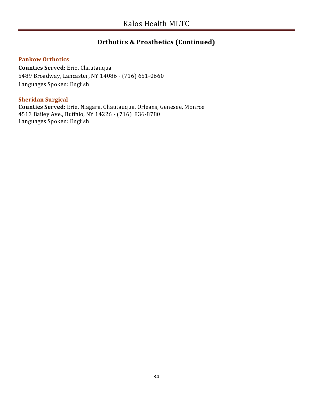# **Orthotics & Prosthetics (Continued)**

#### **Pankow Orthotics**

**Counties Served:** Erie, Chautauqua 5489 Broadway, Lancaster, NY 14086 - (716) 651-0660 Languages Spoken: English

#### **Sheridan Surgical**

**Counties Served:** Erie, Niagara, Chautauqua, Orleans, Genesee, Monroe 4513 Bailey Ave., Buffalo, NY 14226 - (716) 836-8780 Languages Spoken: English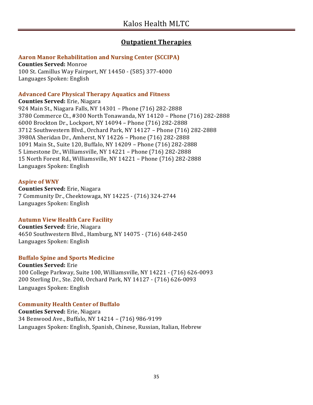# **Outpatient Therapies**

#### **Aaron Manor Rehabilitation and Nursing Center (SCCIPA)**

**Counties Served:** Monroe 100 St. Camillus Way Fairport, NY 14450 - (585) 377-4000 Languages Spoken: English

#### **Advanced Care Physical Therapy Aquatics and Fitness**

**Counties Served:** Erie, Niagara 924 Main St., Niagara Falls, NY 14301 – Phone (716) 282-2888 3780 Commerce Ct., #300 North Tonawanda, NY 14120 – Phone (716) 282-2888 6000 Brockton Dr., Lockport, NY 14094 – Phone (716) 282-2888 3712 Southwestern Blvd., Orchard Park, NY 14127 – Phone (716) 282-2888 3980A Sheridan Dr., Amherst, NY 14226 – Phone (716) 282-2888 1091 Main St., Suite 120, Buffalo, NY 14209 – Phone (716) 282-2888 5 Limestone Dr., Williamsville, NY 14221 – Phone (716) 282-2888 15 North Forest Rd., Williamsville, NY 14221 – Phone (716) 282-2888 Languages Spoken: English

#### **Aspire of WNY**

**Counties Served:** Erie, Niagara 7 Community Dr., Cheektowaga, NY 14225 - (716) 324-2744 Languages Spoken: English

#### **Autumn View Health Care Facility**

**Counties Served:** Erie, Niagara 4650 Southwestern Blvd., Hamburg, NY 14075 - (716) 648-2450 Languages Spoken: English

#### **Buffalo Spine and Sports Medicine**

**Counties Served:** Erie 100 College Parkway, Suite 100, Williamsville, NY 14221 - (716) 626-0093 200 Sterling Dr., Ste. 200, Orchard Park, NY 14127 - (716) 626-0093 Languages Spoken: English

#### **Community Health Center of Buffalo**

**Counties Served:** Erie, Niagara 34 Benwood Ave., Buffalo, NY 14214 – (716) 986-9199 Languages Spoken: English, Spanish, Chinese, Russian, Italian, Hebrew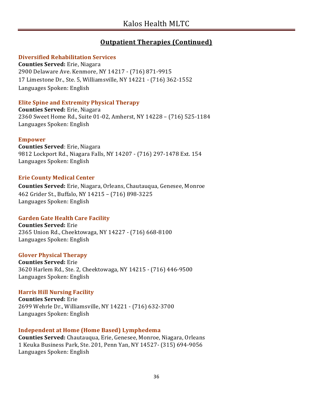# **Outpatient Therapies (Continued)**

#### **Diversified Rehabilitation Services**

**Counties Served:** Erie, Niagara 2900 Delaware Ave. Kenmore, NY 14217 - (716) 871-9915 17 Limestone Dr., Ste. 5, Williamsville, NY 14221 - (716) 362-1552 Languages Spoken: English

#### **Elite Spine and Extremity Physical Therapy**

**Counties Served:** Erie, Niagara 2360 Sweet Home Rd., Suite 01-02, Amherst, NY 14228 – (716) 525-1184 Languages Spoken: English

#### **Empower**

**Counties Served**: Erie, Niagara 9812 Lockport Rd., Niagara Falls, NY 14207 - (716) 297-1478 Ext. 154 Languages Spoken: English

#### **Erie County Medical Center**

**Counties Served:** Erie, Niagara, Orleans, Chautauqua, Genesee, Monroe 462 Grider St., Buffalo, NY 14215 – (716) 898-3225 Languages Spoken: English

#### **Garden Gate Health Care Facility**

**Counties Served:** Erie 2365 Union Rd., Cheektowaga, NY 14227 - (716) 668-8100 Languages Spoken: English

#### **Glover Physical Therapy**

**Counties Served:** Erie 3620 Harlem Rd., Ste. 2, Cheektowaga, NY 14215 - (716) 446-9500 Languages Spoken: English

### **Harris Hill Nursing Facility**

**Counties Served:** Erie 2699 Wehrle Dr., Williamsville, NY 14221 - (716) 632-3700 Languages Spoken: English

#### **Independent at Home (Home Based) Lymphedema**

**Counties Served:** Chautauqua, Erie, Genesee, Monroe, Niagara, Orleans 1 Keuka Business Park, Ste. 201, Penn Yan, NY 14527- (315) 694-9056 Languages Spoken: English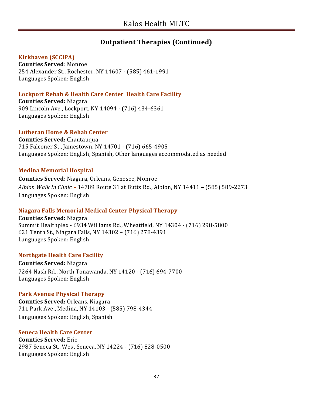# **Outpatient Therapies (Continued)**

#### **Kirkhaven (SCCIPA)**

**Counties Served**: Monroe 254 Alexander St., Rochester, NY 14607 - (585) 461-1991 Languages Spoken: English

#### **Lockport Rehab & Health Care Center Health Care Facility**

**Counties Served:** Niagara 909 Lincoln Ave., Lockport, NY 14094 - (716) 434-6361 Languages Spoken: English

#### **Lutheran Home & Rehab Center**

**Counties Served:** Chautauqua 715 Falconer St., Jamestown, NY 14701 - (716) 665-4905 Languages Spoken: English, Spanish, Other languages accommodated as needed

#### **Medina Memorial Hospital**

**Counties Served**: Niagara, Orleans, Genesee, Monroe *Albion Walk In Clinic* **–** 14789 Route 31 at Butts Rd., Albion, NY 14411 – (585) 589-2273 Languages Spoken: English

#### **Niagara Falls Memorial Medical Center Physical Therapy**

**Counties Served:** Niagara Summit Healthplex - 6934 Williams Rd., Wheatfield, NY 14304 - (716) 298-5800 621 Tenth St., Niagara Falls, NY 14302 – (716) 278-4391 Languages Spoken: English

#### **Northgate Health Care Facility**

**Counties Served:** Niagara 7264 Nash Rd., North Tonawanda, NY 14120 - (716) 694-7700 Languages Spoken: English

#### **Park Avenue Physical Therapy**

**Counties Served:** Orleans, Niagara 711 Park Ave., Medina, NY 14103 - (585) 798-4344 Languages Spoken: English, Spanish

#### **Seneca Health Care Center**

**Counties Served:** Erie 2987 Seneca St., West Seneca, NY 14224 - (716) 828-0500 Languages Spoken: English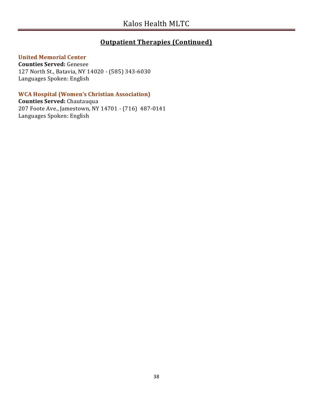## **Outpatient Therapies (Continued)**

#### **United Memorial Center**

**Counties Served:** Genesee 127 North St., Batavia, NY 14020 - (585) 343-6030 Languages Spoken: English

#### **WCA Hospital (Women's Christian Association)**

**Counties Served:** Chautauqua 207 Foote Ave., Jamestown, NY 14701 - (716) 487-0141 Languages Spoken: English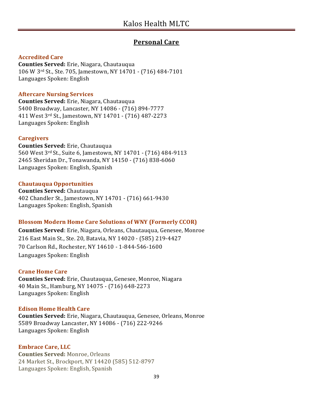# **Personal Care**

#### **Accredited Care**

**Counties Served:** Erie, Niagara, Chautauqua 106 W 3rd St., Ste. 705, Jamestown, NY 14701 - (716) 484-7101 Languages Spoken: English

#### **Aftercare Nursing Services**

**Counties Served:** Erie, Niagara, Chautauqua 5400 Broadway, Lancaster, NY 14086 - (716) 894-7777 411 West 3rd St., Jamestown, NY 14701 - (716) 487-2273 Languages Spoken: English

#### **Caregivers**

**Counties Served:** Erie, Chautauqua 560 West 3rd St., Suite 6, Jamestown, NY 14701 - (716) 484-9113 2465 Sheridan Dr., Tonawanda, NY 14150 - (716) 838-6060 Languages Spoken: English, Spanish

#### **Chautauqua Opportunities**

**Counties Served:** Chautauqua 402 Chandler St., Jamestown, NY 14701 - (716) 661-9430 Languages Spoken: English, Spanish

#### **Blossom Modern Home Care Solutions of WNY (Formerly CCOR)**

**Counties Served**: Erie, Niagara, Orleans, Chautauqua, Genesee, Monroe 216 East Main St., Ste. 20, Batavia, NY 14020 - (585) 219-4427 70 Carlson Rd., Rochester, NY 14610 - 1-844-546-1600 Languages Spoken: English

#### **Crane Home Care**

**Counties Served:** Erie, Chautauqua, Genesee, Monroe, Niagara 40 Main St., Hamburg, NY 14075 - (716) 648-2273 Languages Spoken: English

#### **Edison Home Health Care**

**Counties Served:** Erie, Niagara, Chautauqua, Genesee, Orleans, Monroe 5589 Broadway Lancaster, NY 14086 - (716) 222-9246 Languages Spoken: English

#### **Embrace Care, LLC**

**Counties Served:** Monroe, Orleans 24 Market St., Brockport, NY 14420 (585) 512-8797 Languages Spoken: English, Spanish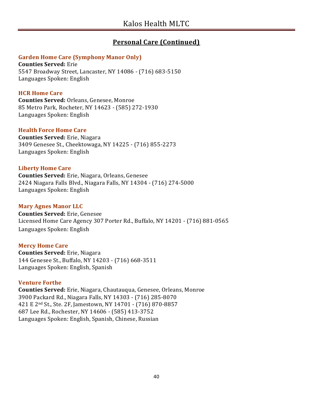# **Personal Care (Continued)**

#### **Garden Home Care (Symphony Manor Only)**

**Counties Served:** Erie 5547 Broadway Street, Lancaster, NY 14086 - (716) 683-5150 Languages Spoken: English

#### **HCR Home Care**

**Counties Served:** Orleans, Genesee, Monroe 85 Metro Park, Rocheter, NY 14623 - (585) 272-1930 Languages Spoken: English

#### **Health Force Home Care**

**Counties Served:** Erie, Niagara 3409 Genesee St., Cheektowaga, NY 14225 - (716) 855-2273 Languages Spoken: English

#### **Liberty Home Care**

**Counties Served:** Erie, Niagara, Orleans, Genesee 2424 Niagara Falls Blvd., Niagara Falls, NY 14304 - (716) 274-5000 Languages Spoken: English

#### **Mary Agnes Manor LLC**

**Counties Served:** Erie, Genesee Licensed Home Care Agency 307 Porter Rd., Buffalo, NY 14201 - (716) 881-0565 Languages Spoken: English

#### **Mercy Home Care**

**Counties Served:** Erie, Niagara 144 Genesee St., Buffalo, NY 14203 - (716) 668-3511 Languages Spoken: English, Spanish

#### **Venture Forthe**

**Counties Served:** Erie, Niagara, Chautauqua, Genesee, Orleans, Monroe 3900 Packard Rd., Niagara Falls, NY 14303 - (716) 285-8070 421 E 2nd St., Ste. 2F, Jamestown, NY 14701 - (716) 870-8857 687 Lee Rd., Rochester, NY 14606 - (585) 413-3752 Languages Spoken: English, Spanish, Chinese, Russian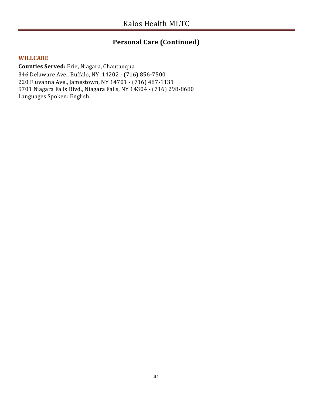# **Personal Care (Continued)**

#### **WILLCARE**

**Counties Served:** Erie, Niagara, Chautauqua 346 Delaware Ave., Buffalo, NY 14202 - (716) 856-7500 220 Fluvanna Ave., Jamestown, NY 14701 - (716) 487-1131 9701 Niagara Falls Blvd., Niagara Falls, NY 14304 - (716) 298-8680 Languages Spoken: English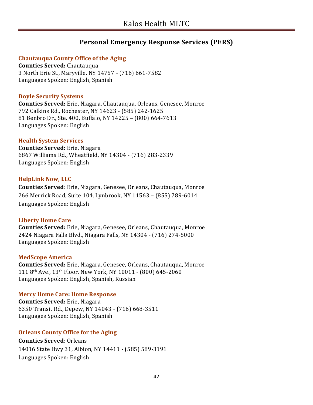## **Personal Emergency Response Services (PERS)**

#### **Chautauqua County Office of the Aging**

**Counties Served:** Chautauqua 3 North Erie St., Maryville, NY 14757 - (716) 661-7582 Languages Spoken: English, Spanish

#### **Doyle Security Systems**

**Counties Served:** Erie, Niagara, Chautauqua, Orleans, Genesee, Monroe 792 Calkins Rd., Rochester, NY 14623 - (585) 242-1625 81 Benbro Dr., Ste. 400, Buffalo, NY 14225 – (800) 664-7613 Languages Spoken: English

#### **Health System Services**

**Counties Served:** Erie, Niagara 6867 Williams Rd., Wheatfield, NY 14304 - (716) 283-2339 Languages Spoken: English

#### **HelpLink Now, LLC**

**Counties Served**: Erie, Niagara, Genesee, Orleans, Chautauqua, Monroe 266 Merrick Road, Suite 104, Lynbrook, NY 11563 – (855) 789-6014 Languages Spoken: English

#### **Liberty Home Care**

**Counties Served:** Erie, Niagara, Genesee, Orleans, Chautauqua, Monroe 2424 Niagara Falls Blvd., Niagara Falls, NY 14304 - (716) 274-5000 Languages Spoken: English

#### **MedScope America**

**Counties Served:** Erie, Niagara, Genesee, Orleans, Chautauqua, Monroe 111 8th Ave., 13th Floor, New York, NY 10011 - (800) 645-2060 Languages Spoken: English, Spanish, Russian

# **Mercy Home Care: Home Response**

**Counties Served:** Erie, Niagara 6350 Transit Rd., Depew, NY 14043 - (716) 668-3511 Languages Spoken: English, Spanish

#### **Orleans County Office for the Aging**

**Counties Served**: Orleans 14016 State Hwy 31, Albion, NY 14411 - (585) 589-3191 Languages Spoken: English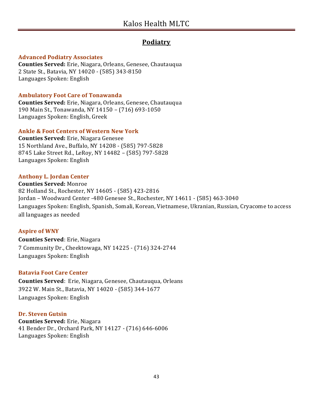# **Podiatry**

#### **Advanced Podiatry Associates**

**Counties Served:** Erie, Niagara, Orleans, Genesee, Chautauqua 2 State St., Batavia, NY 14020 - (585) 343-8150 Languages Spoken: English

#### **Ambulatory Foot Care of Tonawanda**

**Counties Served:** Erie, Niagara, Orleans, Genesee, Chautauqua 190 Main St., Tonawanda, NY 14150 – (716) 693-1050 Languages Spoken: English, Greek

#### **Ankle & Foot Centers of Western New York**

**Counties Served:** Erie, Niagara Genesee 15 Northland Ave., Buffalo, NY 14208 - (585) 797-5828 8745 Lake Street Rd., LeRoy, NY 14482 – (585) 797-5828 Languages Spoken: English

#### **Anthony L. Jordan Center**

**Counties Served:** Monroe 82 Holland St., Rochester, NY 14605 - (585) 423-2816 Jordan – Woodward Center -480 Genesee St., Rochester, NY 14611 - (585) 463-3040 Languages Spoken: English, Spanish, Somali, Korean, Vietnamese, Ukranian, Russian, Cryacome to access all languages as needed

#### **Aspire of WNY**

**Counties Served**: Erie, Niagara 7 Community Dr., Cheektowaga, NY 14225 - (716) 324-2744 Languages Spoken: English

#### **Batavia Foot Care Center**

**Counties Served**: Erie, Niagara, Genesee, Chautauqua, Orleans 3922 W. Main St., Batavia, NY 14020 - (585) 344-1677 Languages Spoken: English

#### **Dr. Steven Gutsin**

**Counties Served:** Erie, Niagara 41 Bender Dr., Orchard Park, NY 14127 - (716) 646-6006 Languages Spoken: English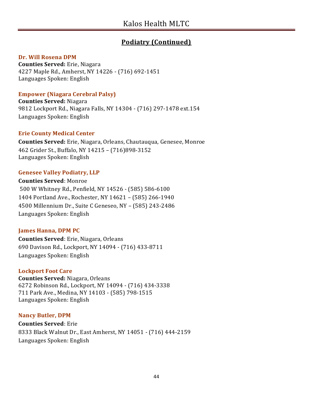# **Podiatry (Continued)**

#### **Dr. Will Rosena DPM**

**Counties Served:** Erie, Niagara 4227 Maple Rd., Amherst, NY 14226 - (716) 692-1451 Languages Spoken: English

#### **Empower (Niagara Cerebral Palsy)**

**Counties Served:** Niagara 9812 Lockport Rd., Niagara Falls, NY 14304 - (716) 297-1478 ext.154 Languages Spoken: English

#### **Erie County Medical Center**

**Counties Served:** Erie, Niagara, Orleans, Chautauqua, Genesee, Monroe 462 Grider St., Buffalo, NY 14215 – (716)898-3152 Languages Spoken: English

#### **Genesee Valley Podiatry, LLP**

**Counties Served**: Monroe 500 W Whitney Rd., Penfield, NY 14526 - (585) 586-6100 1404 Portland Ave., Rochester, NY 14621 – (585) 266-1940 4500 Millennium Dr., Suite C Geneseo, NY – (585) 243-2486 Languages Spoken: English

#### **James Hanna, DPM PC**

**Counties Served**: Erie, Niagara, Orleans 690 Davison Rd., Lockport, NY 14094 - (716) 433-8711 Languages Spoken: English

#### **Lockport Foot Care**

**Counties Served:** Niagara, Orleans 6272 Robinson Rd., Lockport, NY 14094 - (716) 434-3338 711 Park Ave., Medina, NY 14103 - (585) 798-1515 Languages Spoken: English

#### **Nancy Butler, DPM**

**Counties Served**: Erie 8333 Black Walnut Dr., East Amherst, NY 14051 - (716) 444-2159 Languages Spoken: English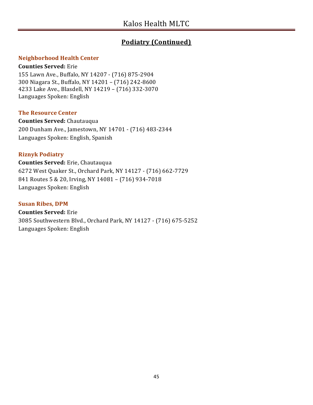# **Podiatry (Continued)**

#### **Neighborhood Health Center**

#### **Counties Served:** Erie

155 Lawn Ave., Buffalo, NY 14207 - (716) 875-2904 300 Niagara St., Buffalo, NY 14201 – (716) 242-8600 4233 Lake Ave., Blasdell, NY 14219 – (716) 332-3070 Languages Spoken: English

#### **The Resource Center**

**Counties Served:** Chautauqua 200 Dunham Ave., Jamestown, NY 14701 - (716) 483-2344 Languages Spoken: English, Spanish

#### **Riznyk Podiatry**

**Counties Served:** Erie, Chautauqua 6272 West Quaker St., Orchard Park, NY 14127 - (716) 662-7729 841 Routes 5 & 20, Irving, NY 14081 – (716) 934-7018 Languages Spoken: English

#### **Susan Ribes, DPM**

**Counties Served:** Erie 3085 Southwestern Blvd., Orchard Park, NY 14127 - (716) 675-5252 Languages Spoken: English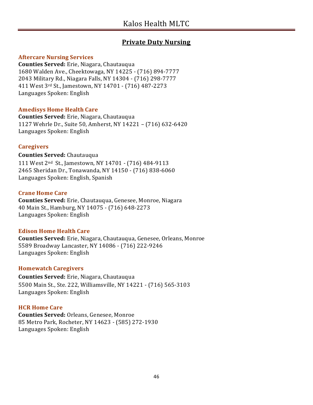## **Private Duty Nursing**

#### **Aftercare Nursing Services**

**Counties Served:** Erie, Niagara, Chautauqua 1680 Walden Ave., Cheektowaga, NY 14225 - (716) 894-7777 2043 Military Rd., Niagara Falls, NY 14304 - (716) 298-7777 411 West 3rd St., Jamestown, NY 14701 - (716) 487-2273 Languages Spoken: English

#### **Amedisys Home Health Care**

**Counties Served:** Erie, Niagara, Chautauqua 1127 Wehrle Dr., Suite 50, Amherst, NY 14221 – (716) 632-6420 Languages Spoken: English

#### **Caregivers**

**Counties Served:** Chautauqua

111 West 2nd St., Jamestown, NY 14701 - (716) 484-9113 2465 Sheridan Dr., Tonawanda, NY 14150 - (716) 838-6060 Languages Spoken: English, Spanish

#### **Crane Home Care**

**Counties Served:** Erie, Chautauqua, Genesee, Monroe, Niagara 40 Main St., Hamburg, NY 14075 - (716) 648-2273 Languages Spoken: English

#### **Edison Home Health Care**

**Counties Served:** Erie, Niagara, Chautauqua, Genesee, Orleans, Monroe 5589 Broadway Lancaster, NY 14086 - (716) 222-9246 Languages Spoken: English

#### **Homewatch Caregivers**

**Counties Served:** Erie, Niagara, Chautauqua 5500 Main St., Ste. 222, Williamsville, NY 14221 - (716) 565-3103 Languages Spoken: English

#### **HCR Home Care**

**Counties Served:** Orleans, Genesee, Monroe 85 Metro Park, Rocheter, NY 14623 - (585) 272-1930 Languages Spoken: English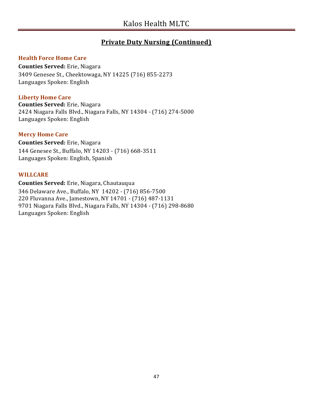# **Private Duty Nursing (Continued)**

#### **Health Force Home Care**

**Counties Served:** Erie, Niagara 3409 Genesee St., Cheektowaga, NY 14225 (716) 855-2273 Languages Spoken: English

#### **Liberty Home Care**

**Counties Served:** Erie, Niagara 2424 Niagara Falls Blvd., Niagara Falls, NY 14304 - (716) 274-5000 Languages Spoken: English

#### **Mercy Home Care**

**Counties Served:** Erie, Niagara 144 Genesee St., Buffalo, NY 14203 - (716) 668-3511 Languages Spoken: English, Spanish

#### **WILLCARE**

**Counties Served:** Erie, Niagara, Chautauqua 346 Delaware Ave., Buffalo, NY 14202 - (716) 856-7500 220 Fluvanna Ave., Jamestown, NY 14701 - (716) 487-1131 9701 Niagara Falls Blvd., Niagara Falls, NY 14304 - (716) 298-8680 Languages Spoken: English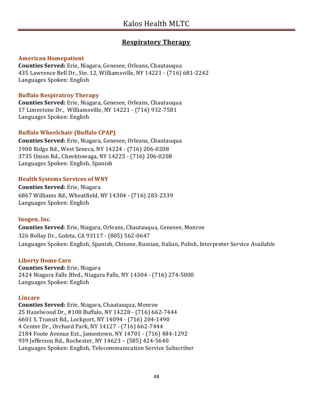# **Respiratory Therapy**

#### **American Homepatient**

**Counties Served:** Erie, Niagara, Genesee, Orleans, Chautauqua 435 Lawrence Bell Dr., Ste. 12, Williamsville, NY 14221 - (716) 681-2242 Languages Spoken: English

#### **Buffalo Respiratroy Therapy**

**Counties Served:** Erie, Niagara, Genesee, Orleans, Chautauqua 17 Limestone Dr., Williamsville, NY 14221 - (716) 932-7581 Languages Spoken: English

#### **Buffalo Wheelchair (Buffalo CPAP)**

**Counties Served:** Erie, Niagara, Genesee, Orleans, Chautauqua 1900 Ridge Rd., West Seneca, NY 14224 - (716) 206-0208 3735 Union Rd., Cheektowaga, NY 14225 - (716) 206-0208 Languages Spoken: English, Spanish

#### **Health Systems Services of WNY**

**Counties Served:** Erie, Niagara 6867 Williams Rd., Wheatfield, NY 14304 - (716) 283-2339 Languages Spoken: English

#### **Inogen, Inc**.

**Counties Served**: Erie, Niagara, Orleans, Chautauqua, Genesee, Monroe 326 Bollay Dr., Goleta, CA 93117 - (805) 562-0647 Languages Spoken: English, Spanish, Chinese, Russian, Italian, Polish, Interpreter Service Available

#### **Liberty Home Care**

**Counties Served:** Erie, Niagara 2424 Niagara Falls Blvd., Niagara Falls, NY 14304 - (716) 274-5000 Languages Spoken: English

#### **Lincare**

**Counties Served:** Erie, Niagara, Chautauqua, Monroe 25 Hazelwood Dr., #100 Buffalo, NY 14228 - (716) 662-7444 6601 S. Transit Rd,. Lockport, NY 14094 - (716) 204-1490 4 Center Dr., Orchard Park, NY 14127 - (716) 662-7444 2184 Foote Avenue Ext., Jamestown, NY 14701 - (716) 484-1292 939 Jefferson Rd., Rochester, NY 14623 – (585) 424-5640 Languages Spoken: English, Telecommunication Service Subscriber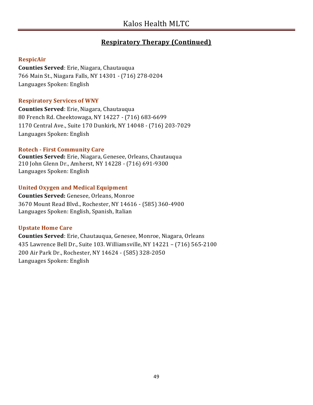# **Respiratory Therapy (Continued)**

#### **RespicAir**

**Counties Served**: Erie, Niagara, Chautauqua 766 Main St., Niagara Falls, NY 14301 - (716) 278-0204 Languages Spoken: English

#### **Respiratory Services of WNY**

**Counties Served**: Erie, Niagara, Chautauqua 80 French Rd. Cheektowaga, NY 14227 - (716) 683-6699 1170 Central Ave., Suite 170 Dunkirk, NY 14048 - (716) 203-7029 Languages Spoken: English

#### **Rotech - First Community Care**

**Counties Served:** Erie, Niagara, Genesee, Orleans, Chautauqua 210 John Glenn Dr., Amherst, NY 14228 - (716) 691-9300 Languages Spoken: English

### **United Oxygen and Medical Equipment**

**Counties Served:** Genesee, Orleans, Monroe 3670 Mount Read Blvd., Rochester, NY 14616 - (585) 360-4900 Languages Spoken: English, Spanish, Italian

### **Upstate Home Care**

**Counties Served**: Erie, Chautauqua, Genesee, Monroe, Niagara, Orleans 435 Lawrence Bell Dr., Suite 103. Williamsville, NY 14221 – (716) 565-2100 200 Air Park Dr., Rochester, NY 14624 - (585) 328-2050 Languages Spoken: English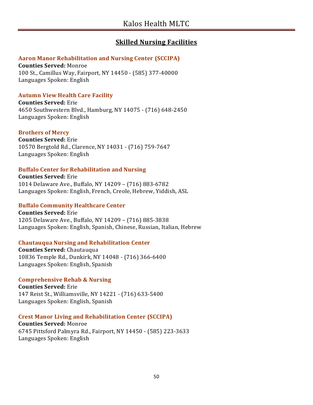# **Skilled Nursing Facilities**

#### **Aaron Manor Rehabilitation and Nursing Center (SCCIPA)**

**Counties Served:** Monroe 100 St., Camillus Way, Fairport, NY 14450 - (585) 377-40000 Languages Spoken: English

#### **Autumn View Health Care Facility**

**Counties Served:** Erie 4650 Southwestern Blvd., Hamburg, NY 14075 - (716) 648-2450 Languages Spoken: English

#### **Brothers of Mercy**

**Counties Served:** Erie 10570 Bergtold Rd., Clarence, NY 14031 - (716) 759-7647 Languages Spoken: English

#### **Buffalo Center for Rehabilitation and Nursing**

**Counties Served:** Erie 1014 Delaware Ave., Buffalo, NY 14209 – (716) 883-6782 Languages Spoken: English, French, Creole, Hebrew, Yiddish, ASL

#### **Buffalo Community Healthcare Center**

**Counties Served:** Erie 1205 Delaware Ave., Buffalo, NY 14209 – (716) 885-3838 Languages Spoken: English, Spanish, Chinese, Russian, Italian, Hebrew

#### **Chautauqua Nursing and Rehabilitation Center**

**Counties Served:** Chautauqua 10836 Temple Rd., Dunkirk, NY 14048 - (716) 366-6400 Languages Spoken: English, Spanish

#### **Comprehensive Rehab & Nursing**

**Counties Served:** Erie 147 Reist St., Williamsville, NY 14221 - (716) 633-5400 Languages Spoken: English, Spanish

#### **Crest Manor Living and Rehabilitation Center (SCCIPA)**

**Counties Served:** Monroe 6745 Pittsford Palmyra Rd., Fairport, NY 14450 - (585) 223-3633 Languages Spoken: English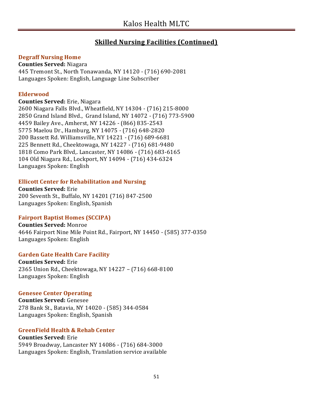#### **Degraff Nursing Home**

**Counties Served:** Niagara 445 Tremont St., North Tonawanda, NY 14120 - (716) 690-2081 Languages Spoken: English, Language Line Subscriber

#### **Elderwood**

**Counties Served:** Erie, Niagara 2600 Niagara Falls Blvd., Wheatfield, NY 14304 - (716) 215-8000 2850 Grand Island Blvd., Grand Island, NY 14072 - (716) 773-5900 4459 Bailey Ave., Amherst, NY 14226 - (866) 835-2543 5775 Maelou Dr., Hamburg, NY 14075 - (716) 648-2820 200 Bassett Rd. Williamsville, NY 14221 - (716) 689-6681 225 Bennett Rd., Cheektowaga, NY 14227 - (716) 681-9480 1818 Como Park Blvd,. Lancaster, NY 14086 - (716) 683-6165 104 Old Niagara Rd., Lockport, NY 14094 - (716) 434-6324 Languages Spoken: English

#### **Ellicott Center for Rehabilitation and Nursing**

**Counties Served:** Erie 200 Seventh St., Buffalo, NY 14201 (716) 847-2500 Languages Spoken: English, Spanish

#### **Fairport Baptist Homes (SCCIPA)**

**Counties Served:** Monroe 4646 Fairport Nine Mile Point Rd., Fairport, NY 14450 - (585) 377-0350 Languages Spoken: English

#### **Garden Gate Health Care Facility**

**Counties Served:** Erie 2365 Union Rd., Cheektowaga, NY 14227 – (716) 668-8100 Languages Spoken: English

#### **Genesee Center Operating**

**Counties Served:** Genesee 278 Bank St., Batavia, NY 14020 - (585) 344-0584 Languages Spoken: English, Spanish

#### **GreenField Health & Rehab Center**

#### **Counties Served:** Erie

5949 Broadway, Lancaster NY 14086 - (716) 684-3000 Languages Spoken: English, Translation service available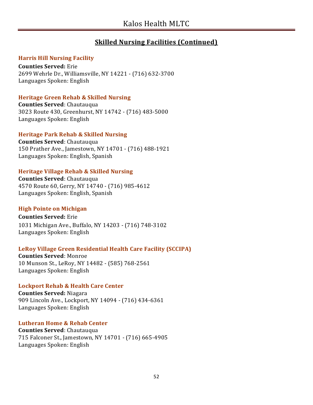#### **Harris Hill Nursing Facility**

**Counties Served:** Erie 2699 Wehrle Dr., Williamsville, NY 14221 - (716) 632-3700 Languages Spoken: English

#### **Heritage Green Rehab & Skilled Nursing**

**Counties Served**: Chautauqua 3023 Route 430, Greenhurst, NY 14742 - (716) 483-5000 Languages Spoken: English

#### **Heritage Park Rehab & Skilled Nursing**

**Counties Served**: Chautauqua 150 Prather Ave., Jamestown, NY 14701 - (716) 488-1921 Languages Spoken: English, Spanish

#### **Heritage Village Rehab & Skilled Nursing**

**Counties Served**: Chautauqua 4570 Route 60, Gerry, NY 14740 - (716) 985-4612 Languages Spoken: English, Spanish

#### **High Pointe on Michigan**

**Counties Served:** Erie 1031 Michigan Ave., Buffalo, NY 14203 - (716) 748-3102 Languages Spoken: English

#### **LeRoy Village Green Residential Health Care Facility (SCCIPA)**

**Counties Served**: Monroe 10 Munson St., LeRoy, NY 14482 - (585) 768-2561 Languages Spoken: English

#### **Lockport Rehab & Health Care Center**

**Counties Served:** Niagara 909 Lincoln Ave., Lockport, NY 14094 - (716) 434-6361 Languages Spoken: English

#### **Lutheran Home & Rehab Center**

**Counties Served**: Chautauqua 715 Falconer St., Jamestown, NY 14701 - (716) 665-4905 Languages Spoken: English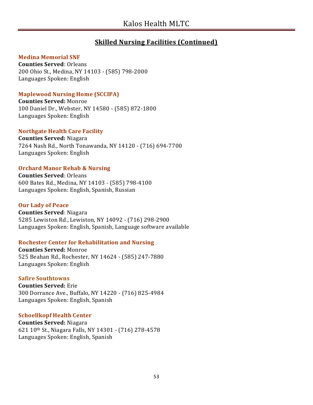#### **Medina Memorial SNF**

**Counties Served**: Orleans 200 Ohio St., Medina, NY 14103 - (585) 798-2000 Languages Spoken: English

#### **Maplewood Nursing Home (SCCIPA)**

**Counties Served:** Monroe 100 Daniel Dr., Webster, NY 14580 - (585) 872-1800 Languages Spoken: English

#### **Northgate Health Care Facility**

**Counties Served:** Niagara 7264 Nash Rd., North Tonawanda, NY 14120 - (716) 694-7700 Languages Spoken: English

#### **Orchard Manor Rehab & Nursing**

**Counties Served**: Orleans 600 Bates Rd., Medina, NY 14103 - (585) 798-4100 Languages Spoken: English, Spanish, Russian

#### **Our Lady of Peace**

**Counties Served**: Niagara 5285 Lewiston Rd., Lewiston, NY 14092 - (716) 298-2900 Languages Spoken: English, Spanish, Language software available

#### **Rochester Center for Rehabilitation and Nursing**

**Counties Served:** Monroe 525 Beahan Rd., Rochester, NY 14624 - (585) 247-7880 Languages Spoken: English

#### **Safire Southtowns**

**Counties Served:** Erie 300 Dorrance Ave., Buffalo, NY 14220 - (716) 825-4984 Languages Spoken: English, Spanish

#### **Schoellkopf Health Center**

**Counties Served:** Niagara 621 10th St., Niagara Falls, NY 14301 - (716) 278-4578 Languages Spoken: English, Spanish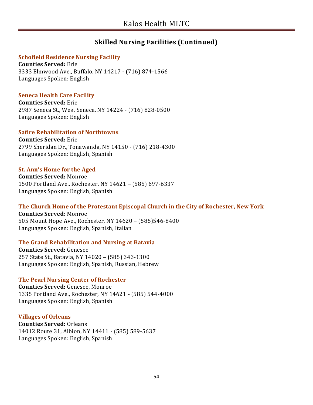#### **Schofield Residence Nursing Facility**

**Counties Served:** Erie 3333 Elmwood Ave., Buffalo, NY 14217 - (716) 874-1566 Languages Spoken: English

#### **Seneca Health Care Facility**

**Counties Served:** Erie 2987 Seneca St., West Seneca, NY 14224 - (716) 828-0500 Languages Spoken: English

#### **Safire Rehabilitation of Northtowns**

**Counties Served:** Erie 2799 Sheridan Dr., Tonawanda, NY 14150 - (716) 218-4300 Languages Spoken: English, Spanish

#### **St. Ann's Home for the Aged**

**Counties Served:** Monroe 1500 Portland Ave., Rochester, NY 14621 – (585) 697-6337 Languages Spoken: English, Spanish

#### **The Church Home of the Protestant Episcopal Church in the City of Rochester, New York**

**Counties Served:** Monroe 505 Mount Hope Ave., Rochester, NY 14620 – (585)546-8400 Languages Spoken: English, Spanish, Italian

#### **The Grand Rehabilitation and Nursing at Batavia**

**Counties Served:** Genesee 257 State St., Batavia, NY 14020 – (585) 343-1300 Languages Spoken: English, Spanish, Russian, Hebrew

#### **The Pearl Nursing Center of Rochester**

**Counties Served:** Genesee, Monroe 1335 Portland Ave., Rochester, NY 14621 - (585) 544-4000 Languages Spoken: English, Spanish

#### **Villages of Orleans**

**Counties Served:** Orleans 14012 Route 31, Albion, NY 14411 - (585) 589-5637 Languages Spoken: English, Spanish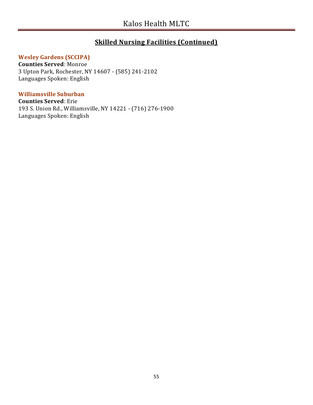#### **Wesley Gardens (SCCIPA)**

**Counties Served**: Monroe 3 Upton Park, Rochester, NY 14607 - (585) 241-2102 Languages Spoken: English

#### **Williamsville Suburban**

**Counties Served**: Erie 193 S. Union Rd., Williamsville, NY 14221 - (716) 276-1900 Languages Spoken: English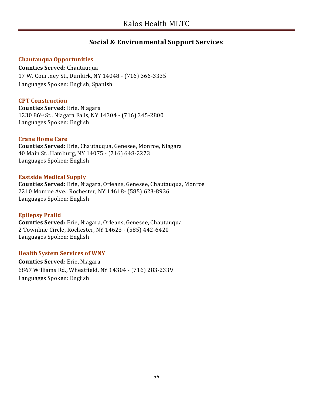# **Social & Environmental Support Services**

#### **Chautauqua Opportunities**

**Counties Served**: Chautauqua 17 W. Courtney St., Dunkirk, NY 14048 - (716) 366-3335 Languages Spoken: English, Spanish

#### **CPT Construction**

**Counties Served:** Erie, Niagara 1230 86th St., Niagara Falls, NY 14304 - (716) 345-2800 Languages Spoken: English

#### **Crane Home Care**

**Counties Served:** Erie, Chautauqua, Genesee, Monroe, Niagara 40 Main St., Hamburg, NY 14075 - (716) 648-2273 Languages Spoken: English

#### **Eastside Medical Supply**

**Counties Served:** Erie, Niagara, Orleans, Genesee, Chautauqua, Monroe 2210 Monroe Ave., Rochester, NY 14618- (585) 623-8936 Languages Spoken: English

#### **Epilepsy Pralid**

**Counties Served:** Erie, Niagara, Orleans, Genesee, Chautauqua 2 Townline Circle, Rochester, NY 14623 - (585) 442-6420 Languages Spoken: English

#### **Health System Services of WNY**

**Counties Served**: Erie, Niagara 6867 Williams Rd., Wheatfield, NY 14304 - (716) 283-2339 Languages Spoken: English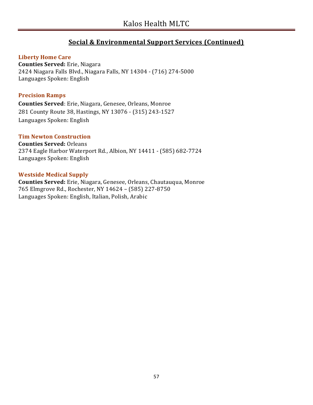# **Social & Environmental Support Services (Continued)**

#### **Liberty Home Care**

**Counties Served:** Erie, Niagara 2424 Niagara Falls Blvd., Niagara Falls, NY 14304 - (716) 274-5000 Languages Spoken: English

#### **Precision Ramps**

**Counties Served**: Erie, Niagara, Genesee, Orleans, Monroe 281 County Route 38, Hastings, NY 13076 - (315) 243-1527 Languages Spoken: English

#### **Tim Newton Construction**

**Counties Served:** Orleans 2374 Eagle Harbor Waterport Rd., Albion, NY 14411 - (585) 682-7724 Languages Spoken: English

#### **Westside Medical Supply**

**Counties Served:** Erie, Niagara, Genesee, Orleans, Chautauqua, Monroe 765 Elmgrove Rd., Rochester, NY 14624 – (585) 227-8750 Languages Spoken: English, Italian, Polish, Arabic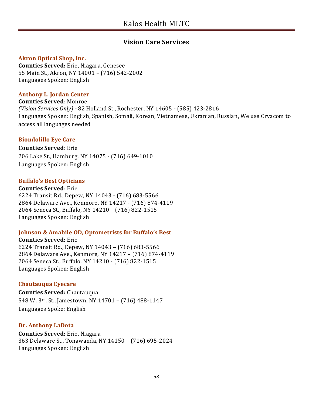# **Vision Care Services**

#### **Akron Optical Shop, Inc.**

**Counties Served:** Erie, Niagara, Genesee 55 Main St., Akron, NY 14001 – (716) 542-2002 Languages Spoken: English

#### **Anthony L. Jordan Center**

**Counties Served**: Monroe *(Vision Services Only) -* 82 Holland St., Rochester, NY 14605 - (585) 423-2816 Languages Spoken: English, Spanish, Somali, Korean, Vietnamese, Ukranian, Russian, We use Cryacom to access all languages needed

#### **Biondolillo Eye Care**

**Counties Served**: Erie 206 Lake St., Hamburg, NY 14075 - (716) 649-1010 Languages Spoken: English

#### **Buffalo's Best Opticians**

**Counties Served**: Erie 6224 Transit Rd., Depew, NY 14043 - (716) 683-5566 2864 Delaware Ave., Kenmore, NY 14217 - (716) 874-4119 2064 Seneca St., Buffalo, NY 14210 – (716) 822-1515 Languages Spoken: English

#### **Johnson & Amabile OD, Optometrists for Buffalo's Best**

**Counties Served:** Erie 6224 Transit Rd., Depew, NY 14043 – (716) 683-5566 2864 Delaware Ave., Kenmore, NY 14217 – (716) 874-4119 2064 Seneca St., Buffalo, NY 14210 - (716) 822-1515 Languages Spoken: English

#### **Chautauqua Eyecare**

**Counties Served:** Chautauqua 548 W. 3rd. St., Jamestown, NY 14701 – (716) 488-1147 Languages Spoke: English

#### **Dr. Anthony LaDota**

**Counties Served:** Erie, Niagara 363 Delaware St., Tonawanda, NY 14150 – (716) 695-2024 Languages Spoken: English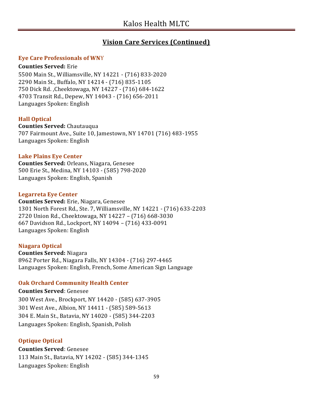### **Vision Care Services (Continued)**

#### **Eye Care Professionals of WN**Y

#### **Counties Served:** Erie

5500 Main St., Williamsville, NY 14221 - (716) 833-2020 2290 Main St., Buffalo, NY 14214 - (716) 835-1105 750 Dick Rd. ,Cheektowaga, NY 14227 - (716) 684-1622 4703 Transit Rd., Depew, NY 14043 - (716) 656-2011 Languages Spoken: English

#### **Hall Optical**

**Counties Served:** Chautauqua 707 Fairmount Ave., Suite 10, Jamestown, NY 14701 (716) 483-1955 Languages Spoken: English

#### **Lake Plains Eye Center**

**Counties Served:** Orleans, Niagara, Genesee 500 Erie St., Medina, NY 14103 - (585) 798-2020 Languages Spoken: English, Spanish

#### **Legarreta Eye Center**

**Counties Served:** Erie, Niagara, Genesee 1301 North Forest Rd., Ste. 7, Williamsville, NY 14221 - (716) 633-2203 2720 Union Rd., Cheektowaga, NY 14227 – (716) 668-3030 667 Davidson Rd., Lockport, NY 14094 – (716) 433-0091 Languages Spoken: English

#### **Niagara Optical**

**Counties Served:** Niagara 8962 Porter Rd., Niagara Falls, NY 14304 - (716) 297-4465 Languages Spoken: English, French, Some American Sign Language

#### **Oak Orchard Community Health Center**

**Counties Served**: Genesee 300 West Ave., Brockport, NY 14420 - (585) 637-3905 301 West Ave., Albion, NY 14411 - (585) 589-5613 304 E. Main St., Batavia, NY 14020 - (585) 344-2203 Languages Spoken: English, Spanish, Polish

#### **Optique Optical**

**Counties Served**: Genesee 113 Main St., Batavia, NY 14202 - (585) 344-1345 Languages Spoken: English